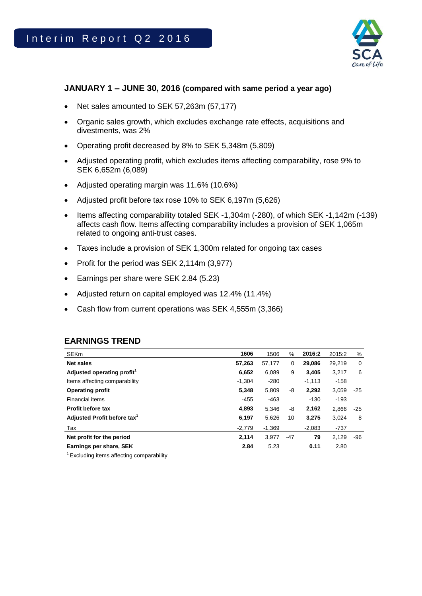

### **JANUARY 1 – JUNE 30, 2016 (compared with same period a year ago)**

- Net sales amounted to SEK 57,263m (57,177)
- Organic sales growth, which excludes exchange rate effects, acquisitions and divestments, was 2%
- Operating profit decreased by 8% to SEK 5,348m (5,809)
- Adjusted operating profit, which excludes items affecting comparability, rose 9% to SEK 6,652m (6,089)
- Adjusted operating margin was 11.6% (10.6%)
- Adjusted profit before tax rose 10% to SEK 6,197m (5,626)
- Items affecting comparability totaled SEK -1,304m (-280), of which SEK -1,142m (-139) affects cash flow. Items affecting comparability includes a provision of SEK 1,065m related to ongoing anti-trust cases.
- Taxes include a provision of SEK 1,300m related for ongoing tax cases
- Profit for the period was SEK 2,114m (3,977)
- Earnings per share were SEK 2.84 (5.23)
- Adjusted return on capital employed was 12.4% (11.4%)
- Cash flow from current operations was SEK 4,555m (3,366)

| <b>SEKm</b>                             | 1606     | 1506     | %     | 2016:2   | 2015:2 | %     |
|-----------------------------------------|----------|----------|-------|----------|--------|-------|
| <b>Net sales</b>                        | 57,263   | 57,177   | 0     | 29,086   | 29,219 | 0     |
| Adjusted operating profit <sup>1</sup>  | 6,652    | 6,089    | 9     | 3.405    | 3,217  | 6     |
| Items affecting comparability           | $-1.304$ | $-280$   |       | $-1,113$ | $-158$ |       |
| <b>Operating profit</b>                 | 5.348    | 5,809    | -8    | 2,292    | 3,059  | -25   |
| Financial items                         | $-455$   | -463     |       | $-130$   | $-193$ |       |
| <b>Profit before tax</b>                | 4,893    | 5,346    | -8    | 2,162    | 2,866  | $-25$ |
| Adjusted Profit before tax <sup>1</sup> | 6,197    | 5,626    | 10    | 3,275    | 3,024  | 8     |
| Tax                                     | $-2.779$ | $-1,369$ |       | $-2,083$ | $-737$ |       |
| Net profit for the period               | 2,114    | 3.977    | $-47$ | 79       | 2.129  | -96   |
| Earnings per share, SEK                 | 2.84     | 5.23     |       | 0.11     | 2.80   |       |
| $\cdots$                                |          |          |       |          |        |       |

### **EARNINGS TREND**

 $1$  Excluding items affecting comparability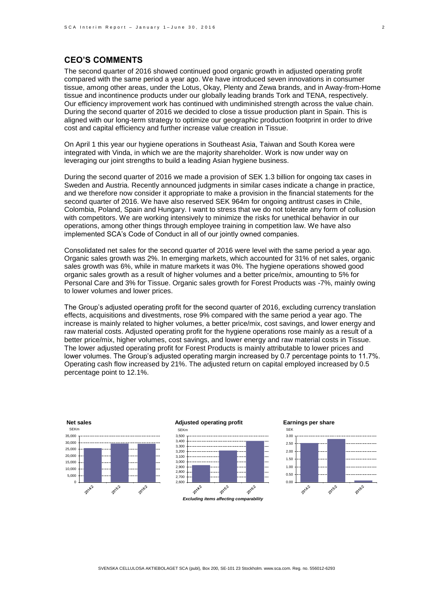### **CEO'S COMMENTS**

The second quarter of 2016 showed continued good organic growth in adjusted operating profit compared with the same period a year ago. We have introduced seven innovations in consumer tissue, among other areas, under the Lotus, Okay, Plenty and Zewa brands, and in Away-from-Home tissue and incontinence products under our globally leading brands Tork and TENA, respectively. Our efficiency improvement work has continued with undiminished strength across the value chain. During the second quarter of 2016 we decided to close a tissue production plant in Spain. This is aligned with our long-term strategy to optimize our geographic production footprint in order to drive cost and capital efficiency and further increase value creation in Tissue.

On April 1 this year our hygiene operations in Southeast Asia, Taiwan and South Korea were integrated with Vinda, in which we are the majority shareholder. Work is now under way on leveraging our joint strengths to build a leading Asian hygiene business.

During the second quarter of 2016 we made a provision of SEK 1.3 billion for ongoing tax cases in Sweden and Austria. Recently announced judgments in similar cases indicate a change in practice, and we therefore now consider it appropriate to make a provision in the financial statements for the second quarter of 2016. We have also reserved SEK 964m for ongoing antitrust cases in Chile, Colombia, Poland, Spain and Hungary. I want to stress that we do not tolerate any form of collusion with competitors. We are working intensively to minimize the risks for unethical behavior in our operations, among other things through employee training in competition law. We have also implemented SCA's Code of Conduct in all of our jointly owned companies.

Consolidated net sales for the second quarter of 2016 were level with the same period a year ago. Organic sales growth was 2%. In emerging markets, which accounted for 31% of net sales, organic sales growth was 6%, while in mature markets it was 0%. The hygiene operations showed good organic sales growth as a result of higher volumes and a better price/mix, amounting to 5% for Personal Care and 3% for Tissue. Organic sales growth for Forest Products was -7%, mainly owing to lower volumes and lower prices.

The Group's adjusted operating profit for the second quarter of 2016, excluding currency translation effects, acquisitions and divestments, rose 9% compared with the same period a year ago. The increase is mainly related to higher volumes, a better price/mix, cost savings, and lower energy and raw material costs. Adjusted operating profit for the hygiene operations rose mainly as a result of a better price/mix, higher volumes, cost savings, and lower energy and raw material costs in Tissue. The lower adjusted operating profit for Forest Products is mainly attributable to lower prices and lower volumes. The Group's adjusted operating margin increased by 0.7 percentage points to 11.7%. Operating cash flow increased by 21%. The adjusted return on capital employed increased by 0.5 percentage point to 12.1%.

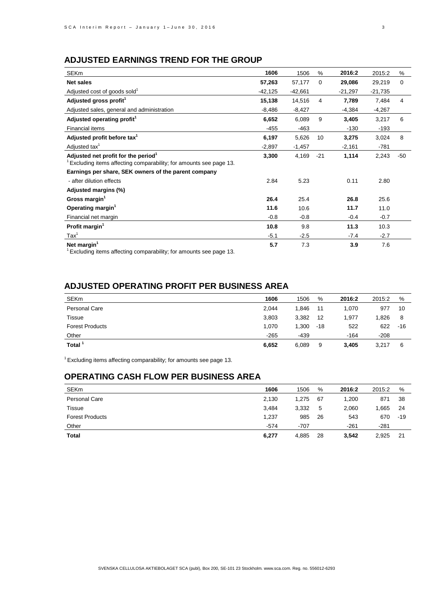### **ADJUSTED EARNINGS TREND FOR THE GROUP**

| <b>SEKm</b>                                                                                                          | 1606      | 1506      | %     | 2016:2    | 2015:2    | %           |
|----------------------------------------------------------------------------------------------------------------------|-----------|-----------|-------|-----------|-----------|-------------|
| <b>Net sales</b>                                                                                                     | 57,263    | 57,177    | 0     | 29,086    | 29,219    | $\mathbf 0$ |
| Adjusted cost of goods sold <sup>1</sup>                                                                             | $-42,125$ | $-42,661$ |       | $-21,297$ | $-21,735$ |             |
| Adjusted gross profit <sup>1</sup>                                                                                   | 15,138    | 14,516    | 4     | 7,789     | 7,484     | 4           |
| Adjusted sales, general and administration                                                                           | $-8,486$  | $-8,427$  |       | $-4,384$  | $-4,267$  |             |
| Adjusted operating profit <sup>1</sup>                                                                               | 6,652     | 6,089     | 9     | 3,405     | 3,217     | 6           |
| <b>Financial items</b>                                                                                               | $-455$    | -463      |       | $-130$    | $-193$    |             |
| Adjusted profit before tax <sup>1</sup>                                                                              | 6,197     | 5,626     | 10    | 3,275     | 3,024     | 8           |
| Adjusted tax <sup>1</sup>                                                                                            | $-2,897$  | $-1,457$  |       | $-2,161$  | $-781$    |             |
| Adjusted net profit for the period <sup>1</sup><br>Excluding items affecting comparability; for amounts see page 13. | 3,300     | 4,169     | $-21$ | 1,114     | 2,243     | -50         |
| Earnings per share, SEK owners of the parent company                                                                 |           |           |       |           |           |             |
| - after dilution effects                                                                                             | 2.84      | 5.23      |       | 0.11      | 2.80      |             |
| Adjusted margins (%)                                                                                                 |           |           |       |           |           |             |
| Gross margin <sup>1</sup>                                                                                            | 26.4      | 25.4      |       | 26.8      | 25.6      |             |
| Operating margin <sup>1</sup>                                                                                        | 11.6      | 10.6      |       | 11.7      | 11.0      |             |
| Financial net margin                                                                                                 | $-0.8$    | $-0.8$    |       | $-0.4$    | $-0.7$    |             |
| Profit margin <sup>1</sup>                                                                                           | 10.8      | 9.8       |       | 11.3      | 10.3      |             |
| $\text{Tax}^1$                                                                                                       | $-5.1$    | $-2.5$    |       | $-7.4$    | $-2.7$    |             |
| Net margin <sup>1</sup>                                                                                              | 5.7       | 7.3       |       | 3.9       | 7.6       |             |

 $1$  Excluding items affecting comparability; for amounts see page 13.

## **ADJUSTED OPERATING PROFIT PER BUSINESS AREA**

| <b>SEKm</b>            | 1606   | 1506   | %   | 2016:2 | 2015:2 | %   |
|------------------------|--------|--------|-----|--------|--------|-----|
| <b>Personal Care</b>   | 2,044  | 1,846  | -11 | 1.070  | 977    | 10  |
| Tissue                 | 3,803  | 3,382  | 12  | 1,977  | 1.826  | 8   |
| <b>Forest Products</b> | 1,070  | 1,300  | -18 | 522    | 622    | -16 |
| Other                  | $-265$ | $-439$ |     | $-164$ | $-208$ |     |
| Total <sup>1</sup>     | 6,652  | 6,089  | 9   | 3,405  | 3,217  | 6   |

<sup>1</sup>Excluding items affecting comparability; for amounts see page 13.

### **OPERATING CASH FLOW PER BUSINESS AREA**

| <b>SEKm</b>            | 1606   | 1506   | %  | 2016:2 | 2015:2 | %     |
|------------------------|--------|--------|----|--------|--------|-------|
| Personal Care          | 2,130  | 1,275  | 67 | 1.200  | 871    | 38    |
| <b>Tissue</b>          | 3.484  | 3,332  | 5  | 2,060  | 1.665  | 24    |
| <b>Forest Products</b> | 1,237  | 985    | 26 | 543    | 670    | $-19$ |
| Other                  | $-574$ | $-707$ |    | $-261$ | $-281$ |       |
| <b>Total</b>           | 6,277  | 4,885  | 28 | 3,542  | 2,925  | 21    |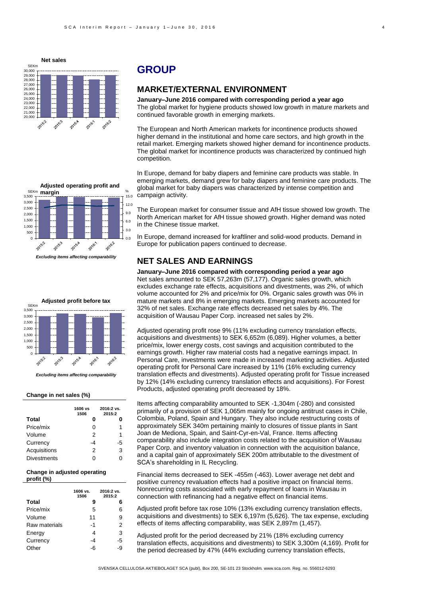

### **GROUP**

### **MARKET/EXTERNAL ENVIRONMENT**

**January–June 2016 compared with corresponding period a year ago** The global market for hygiene products showed low growth in mature markets and continued favorable growth in emerging markets.

The European and North American markets for incontinence products showed higher demand in the institutional and home care sectors, and high growth in the retail market. Emerging markets showed higher demand for incontinence products. The global market for incontinence products was characterized by continued high competition.

In Europe, demand for baby diapers and feminine care products was stable. In emerging markets, demand grew for baby diapers and feminine care products. The global market for baby diapers was characterized by intense competition and campaign activity.

The European market for consumer tissue and AfH tissue showed low growth. The North American market for AfH tissue showed growth. Higher demand was noted in the Chinese tissue market.

In Europe, demand increased for kraftliner and solid-wood products. Demand in Europe for publication papers continued to decrease.

### **NET SALES AND EARNINGS**

**January–June 2016 compared with corresponding period a year ago** Net sales amounted to SEK 57,263m (57,177). Organic sales growth, which excludes exchange rate effects, acquisitions and divestments, was 2%, of which volume accounted for 2% and price/mix for 0%. Organic sales growth was 0% in mature markets and 8% in emerging markets. Emerging markets accounted for 32% of net sales. Exchange rate effects decreased net sales by 4%. The acquisition of Wausau Paper Corp. increased net sales by 2%.

Adjusted operating profit rose 9% (11% excluding currency translation effects, acquisitions and divestments) to SEK 6,652m (6,089). Higher volumes, a better price/mix, lower energy costs, cost savings and acquisition contributed to the earnings growth. Higher raw material costs had a negative earnings impact. In Personal Care, investments were made in increased marketing activities. Adjusted operating profit for Personal Care increased by 11% (16% excluding currency translation effects and divestments). Adjusted operating profit for Tissue increased by 12% (14% excluding currency translation effects and acquisitions). For Forest Products, adjusted operating profit decreased by 18%.

Items affecting comparability amounted to SEK -1,304m (-280) and consisted primarily of a provision of SEK 1,065m mainly for ongoing antitrust cases in Chile, Colombia, Poland, Spain and Hungary. They also include restructuring costs of approximately SEK 340m pertaining mainly to closures of tissue plants in Sant Joan de Mediona, Spain, and Saint-Cyr-en-Val, France. Items affecting comparability also include integration costs related to the acquisition of Wausau Paper Corp. and inventory valuation in connection with the acquisition balance, and a capital gain of approximately SEK 200m attributable to the divestment of SCA's shareholding in IL Recycling.

Financial items decreased to SEK -455m (-463). Lower average net debt and positive currency revaluation effects had a positive impact on financial items. Nonrecurring costs associated with early repayment of loans in Wausau in connection with refinancing had a negative effect on financial items.

Adjusted profit before tax rose 10% (13% excluding currency translation effects, acquisitions and divestments) to SEK 6,197m (5,626). The tax expense, excluding effects of items affecting comparability, was SEK 2,897m (1,457).

Adjusted profit for the period decreased by 21% (18% excluding currency translation effects, acquisitions and divestments) to SEK 3,300m (4,169). Profit for the period decreased by 47% (44% excluding currency translation effects,



*Excluding items affecting comparability*



*Excluding items affecting comparability*

#### **Change in net sales (%)**

|                    | 1606 vs<br>1506 | 2016:2 vs.<br>2015:2 |
|--------------------|-----------------|----------------------|
| Total              | 0               |                      |
| Price/mix          | 0               | 1                    |
| Volume             | 2               | 1                    |
| Currency           | -4              | -5                   |
| Acquisitions       | 2               | 3                    |
| <b>Divestments</b> | ი               |                      |

#### **Change in adjusted operating profit (%)**

|               | 1606 vs.<br>1506 | 2016:2 vs.<br>2015:2 |
|---------------|------------------|----------------------|
| <b>Total</b>  | 9                | 6                    |
| Price/mix     | 5                | 6                    |
| Volume        | 11               | 9                    |
| Raw materials | -1               | 2                    |
| Energy        | 4                | 3                    |
| Currency      | -4               | -5                   |
| Other         | -6               | -9                   |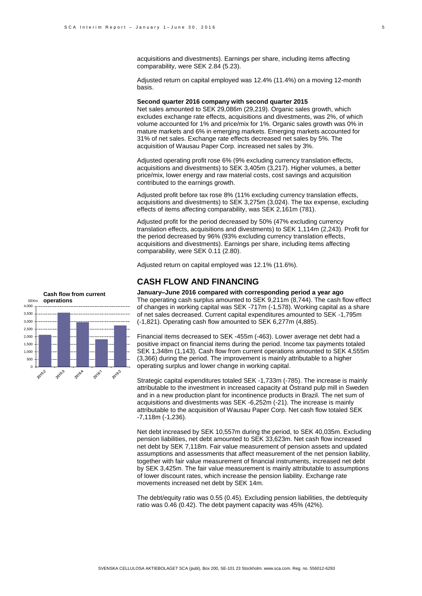acquisitions and divestments). Earnings per share, including items affecting comparability, were SEK 2.84 (5.23).

Adjusted return on capital employed was 12.4% (11.4%) on a moving 12-month basis.

#### **Second quarter 2016 company with second quarter 2015**

Net sales amounted to SEK 29,086m (29,219). Organic sales growth, which excludes exchange rate effects, acquisitions and divestments, was 2%, of which volume accounted for 1% and price/mix for 1%. Organic sales growth was 0% in mature markets and 6% in emerging markets. Emerging markets accounted for 31% of net sales. Exchange rate effects decreased net sales by 5%. The acquisition of Wausau Paper Corp. increased net sales by 3%.

Adjusted operating profit rose 6% (9% excluding currency translation effects, acquisitions and divestments) to SEK 3,405m (3,217). Higher volumes, a better price/mix, lower energy and raw material costs, cost savings and acquisition contributed to the earnings growth.

Adjusted profit before tax rose 8% (11% excluding currency translation effects, acquisitions and divestments) to SEK 3,275m (3,024). The tax expense, excluding effects of items affecting comparability, was SEK 2,161m (781).

Adjusted profit for the period decreased by 50% (47% excluding currency translation effects, acquisitions and divestments) to SEK 1,114m (2,243). Profit for the period decreased by 96% (93% excluding currency translation effects, acquisitions and divestments). Earnings per share, including items affecting comparability, were SEK 0.11 (2.80).

Adjusted return on capital employed was 12.1% (11.6%).

#### **CASH FLOW AND FINANCING**

# **Cash flow from current**  SEKm **operations**2015年 2016.2 2015.3 2016:1

 $\overline{0}$  $500$ 1,000 1,500 2,000 2,500 3,000 3,500 4,000

2015.3

**January–June 2016 compared with corresponding period a year ago** The operating cash surplus amounted to SEK 9,211m (8,744). The cash flow effect of changes in working capital was SEK -717m (-1,578). Working capital as a share of net sales decreased. Current capital expenditures amounted to SEK -1,795m (-1,821). Operating cash flow amounted to SEK 6,277m (4,885).

Financial items decreased to SEK -455m (-463). Lower average net debt had a positive impact on financial items during the period. Income tax payments totaled SEK 1,348m (1,143). Cash flow from current operations amounted to SEK 4,555m (3,366) during the period. The improvement is mainly attributable to a higher operating surplus and lower change in working capital.

Strategic capital expenditures totaled SEK -1,733m (-785). The increase is mainly attributable to the investment in increased capacity at Östrand pulp mill in Sweden and in a new production plant for incontinence products in Brazil. The net sum of acquisitions and divestments was SEK -6,252m (-21). The increase is mainly attributable to the acquisition of Wausau Paper Corp. Net cash flow totaled SEK -7,118m (-1,236).

Net debt increased by SEK 10,557m during the period, to SEK 40,035m. Excluding pension liabilities, net debt amounted to SEK 33,623m. Net cash flow increased net debt by SEK 7,118m. Fair value measurement of pension assets and updated assumptions and assessments that affect measurement of the net pension liability, together with fair value measurement of financial instruments, increased net debt by SEK 3,425m. The fair value measurement is mainly attributable to assumptions of lower discount rates, which increase the pension liability. Exchange rate movements increased net debt by SEK 14m.

The debt/equity ratio was 0.55 (0.45). Excluding pension liabilities, the debt/equity ratio was 0.46 (0.42). The debt payment capacity was 45% (42%).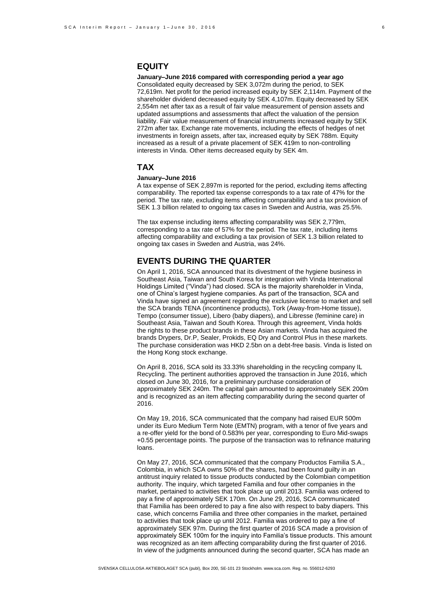### **EQUITY**

#### **January–June 2016 compared with corresponding period a year ago**

Consolidated equity decreased by SEK 3,072m during the period, to SEK 72,619m. Net profit for the period increased equity by SEK 2,114m. Payment of the shareholder dividend decreased equity by SEK 4,107m. Equity decreased by SEK 2,554m net after tax as a result of fair value measurement of pension assets and updated assumptions and assessments that affect the valuation of the pension liability. Fair value measurement of financial instruments increased equity by SEK 272m after tax. Exchange rate movements, including the effects of hedges of net investments in foreign assets, after tax, increased equity by SEK 788m. Equity increased as a result of a private placement of SEK 419m to non-controlling interests in Vinda. Other items decreased equity by SEK 4m.

#### **TAX**

#### **January–June 2016**

A tax expense of SEK 2,897m is reported for the period, excluding items affecting comparability. The reported tax expense corresponds to a tax rate of 47% for the period. The tax rate, excluding items affecting comparability and a tax provision of SEK 1.3 billion related to ongoing tax cases in Sweden and Austria, was 25.5%.

The tax expense including items affecting comparability was SEK 2,779m, corresponding to a tax rate of 57% for the period. The tax rate, including items affecting comparability and excluding a tax provision of SEK 1.3 billion related to ongoing tax cases in Sweden and Austria, was 24%.

### **EVENTS DURING THE QUARTER**

On April 1, 2016, SCA announced that its divestment of the hygiene business in Southeast Asia, Taiwan and South Korea for integration with Vinda International Holdings Limited ("Vinda") had closed. SCA is the majority shareholder in Vinda, one of China's largest hygiene companies. As part of the transaction, SCA and Vinda have signed an agreement regarding the exclusive license to market and sell the SCA brands TENA (incontinence products), Tork (Away-from-Home tissue), Tempo (consumer tissue), Libero (baby diapers), and Libresse (feminine care) in Southeast Asia, Taiwan and South Korea. Through this agreement, Vinda holds the rights to these product brands in these Asian markets. Vinda has acquired the brands Drypers, Dr.P, Sealer, Prokids, EQ Dry and Control Plus in these markets. The purchase consideration was HKD 2.5bn on a debt-free basis. Vinda is listed on the Hong Kong stock exchange.

On April 8, 2016, SCA sold its 33.33% shareholding in the recycling company IL Recycling. The pertinent authorities approved the transaction in June 2016, which closed on June 30, 2016, for a preliminary purchase consideration of approximately SEK 240m. The capital gain amounted to approximately SEK 200m and is recognized as an item affecting comparability during the second quarter of 2016.

On May 19, 2016, SCA communicated that the company had raised EUR 500m under its Euro Medium Term Note (EMTN) program, with a tenor of five years and a re-offer yield for the bond of 0.583% per year, corresponding to Euro Mid-swaps +0.55 percentage points. The purpose of the transaction was to refinance maturing loans.

On May 27, 2016, SCA communicated that the company Productos Familia S.A., Colombia, in which SCA owns 50% of the shares, had been found guilty in an antitrust inquiry related to tissue products conducted by the Colombian competition authority. The inquiry, which targeted Familia and four other companies in the market, pertained to activities that took place up until 2013. Familia was ordered to pay a fine of approximately SEK 170m. On June 29, 2016, SCA communicated that Familia has been ordered to pay a fine also with respect to baby diapers. This case, which concerns Familia and three other companies in the market, pertained to activities that took place up until 2012. Familia was ordered to pay a fine of approximately SEK 97m. During the first quarter of 2016 SCA made a provision of approximately SEK 100m for the inquiry into Familia's tissue products. This amount was recognized as an item affecting comparability during the first quarter of 2016. In view of the judgments announced during the second quarter, SCA has made an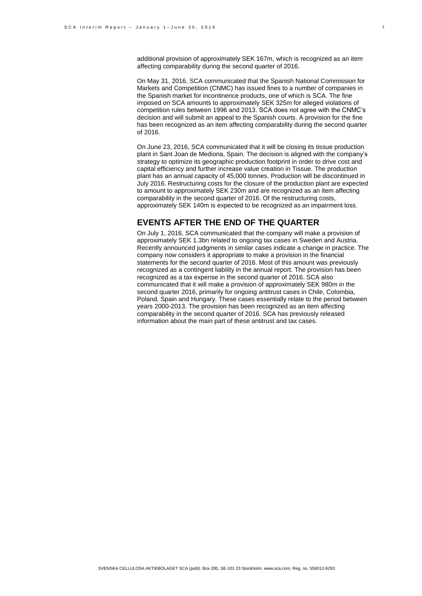additional provision of approximately SEK 167m, which is recognized as an item affecting comparability during the second quarter of 2016.

On May 31, 2016, SCA communicated that the Spanish National Commission for Markets and Competition (CNMC) has issued fines to a number of companies in the Spanish market for incontinence products, one of which is SCA. The fine imposed on SCA amounts to approximately SEK 325m for alleged violations of competition rules between 1996 and 2013. SCA does not agree with the CNMC's decision and will submit an appeal to the Spanish courts. A provision for the fine has been recognized as an item affecting comparability during the second quarter of 2016.

On June 23, 2016, SCA communicated that it will be closing its tissue production plant in Sant Joan de Mediona, Spain. The decision is aligned with the company's strategy to optimize its geographic production footprint in order to drive cost and capital efficiency and further increase value creation in Tissue. The production plant has an annual capacity of 45,000 tonnes. Production will be discontinued in July 2016. Restructuring costs for the closure of the production plant are expected to amount to approximately SEK 230m and are recognized as an item affecting comparability in the second quarter of 2016. Of the restructuring costs, approximately SEK 140m is expected to be recognized as an impairment loss.

### **EVENTS AFTER THE END OF THE QUARTER**

On July 1, 2016, SCA communicated that the company will make a provision of approximately SEK 1.3bn related to ongoing tax cases in Sweden and Austria. Recently announced judgments in similar cases indicate a change in practice. The company now considers it appropriate to make a provision in the financial statements for the second quarter of 2016. Most of this amount was previously recognized as a contingent liability in the annual report. The provision has been recognized as a tax expense in the second quarter of 2016. SCA also communicated that it will make a provision of approximately SEK 980m in the second quarter 2016, primarily for ongoing antitrust cases in Chile, Colombia, Poland, Spain and Hungary. These cases essentially relate to the period between years 2000-2013. The provision has been recognized as an item affecting comparability in the second quarter of 2016. SCA has previously released information about the main part of these antitrust and tax cases.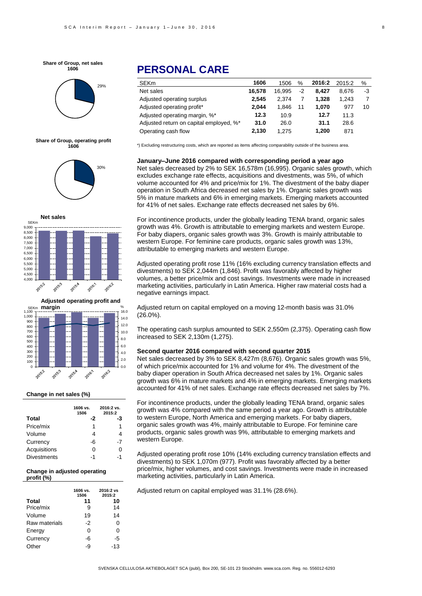**Share of Group, net sales 1606**



**Share of Group, operating profit 1606**







#### **Change in net sales (%)**

|                    | 1606 vs.<br>1506 | 2016:2 vs.<br>2015:2 |
|--------------------|------------------|----------------------|
| Total              | -2               | -3                   |
| Price/mix          | 1                | 1                    |
| Volume             | 4                | 4                    |
| Currency           | -6               | -7                   |
| Acquisitions       | ი                | 0                    |
| <b>Divestments</b> | - 1              | -1                   |

#### **Change in adjusted operating profit (%)**

|               | 1606 vs.<br>1506 | 2016:2 vs<br>2015:2 |
|---------------|------------------|---------------------|
| <b>Total</b>  | 11               | 10                  |
| Price/mix     | 9                | 14                  |
| Volume        | 19               | 14                  |
| Raw materials | -2               | 0                   |
| Energy        | 0                | 0                   |
| Currency      | -6               | -5                  |
| Other         | -9               | -13                 |

## **PERSONAL CARE**

| 1606   | 1506   | %    | 2016:2 | 2015:2 | %  |
|--------|--------|------|--------|--------|----|
| 16,578 | 16.995 | $-2$ | 8.427  | 8.676  | -3 |
| 2.545  | 2.374  |      | 1.328  | 1.243  | 7  |
| 2.044  | 1.846  | 11   | 1.070  | 977    | 10 |
| 12.3   | 10.9   |      | 12.7   | 11.3   |    |
| 31.0   | 26.0   |      | 31.1   | 28.6   |    |
| 2.130  | 1.275  |      | 1.200  | 871    |    |
|        |        |      |        |        |    |

\*) Excluding restructuring costs, which are reported as items affecting comparability outside of the business area.

#### **January–June 2016 compared with corresponding period a year ago**

Net sales decreased by 2% to SEK 16,578m (16,995). Organic sales growth, which excludes exchange rate effects, acquisitions and divestments, was 5%, of which volume accounted for 4% and price/mix for 1%. The divestment of the baby diaper operation in South Africa decreased net sales by 1%. Organic sales growth was 5% in mature markets and 6% in emerging markets. Emerging markets accounted for 41% of net sales. Exchange rate effects decreased net sales by 6%.

For incontinence products, under the globally leading TENA brand, organic sales growth was 4%. Growth is attributable to emerging markets and western Europe. For baby diapers, organic sales growth was 3%. Growth is mainly attributable to western Europe. For feminine care products, organic sales growth was 13%, attributable to emerging markets and western Europe.

Adjusted operating profit rose 11% (16% excluding currency translation effects and divestments) to SEK 2,044m (1,846). Profit was favorably affected by higher volumes, a better price/mix and cost savings. Investments were made in increased marketing activities, particularly in Latin America. Higher raw material costs had a negative earnings impact.

Adjusted return on capital employed on a moving 12-month basis was 31.0% (26.0%).

The operating cash surplus amounted to SEK 2,550m (2,375). Operating cash flow increased to SEK 2,130m (1,275).

#### **Second quarter 2016 compared with second quarter 2015**

Net sales decreased by 3% to SEK 8,427m (8,676). Organic sales growth was 5%, of which price/mix accounted for 1% and volume for 4%. The divestment of the baby diaper operation in South Africa decreased net sales by 1%. Organic sales growth was 6% in mature markets and 4% in emerging markets. Emerging markets accounted for 41% of net sales. Exchange rate effects decreased net sales by 7%.

For incontinence products, under the globally leading TENA brand, organic sales growth was 4% compared with the same period a year ago. Growth is attributable to western Europe, North America and emerging markets. For baby diapers, organic sales growth was 4%, mainly attributable to Europe. For feminine care products, organic sales growth was 9%, attributable to emerging markets and western Europe.

-6 price/mix, higher volumes, and cost savings. Investments were made in increased Adjusted operating profit rose 10% (14% excluding currency translation effects and divestments) to SEK 1,070m (977). Profit was favorably affected by a better marketing activities, particularly in Latin America.

Adjusted return on capital employed was 31.1% (28.6%).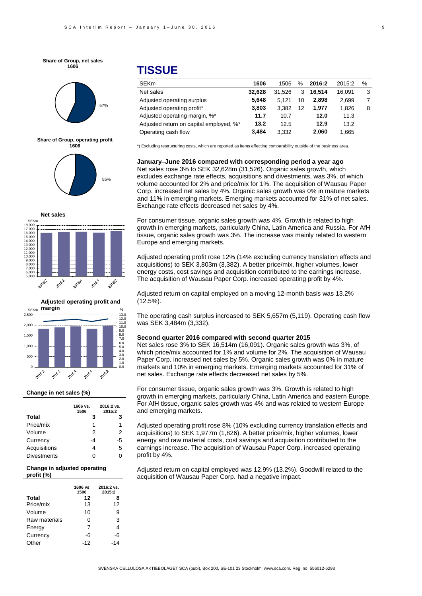**Share of Group, net sales 1606**



**Share of Group, operating profit 1606**







#### **Change in net sales (%)**

|                    | 1606 vs.<br>1506 | 2016:2 vs.<br>2015:2 |
|--------------------|------------------|----------------------|
| Total              | 3                | з                    |
| Price/mix          | 1                | 1                    |
| Volume             | 2                | 2                    |
| Currency           | -4               | -5                   |
| Acquisitions       |                  | 5                    |
| <b>Divestments</b> |                  |                      |

#### **Change in adjusted operating profit (%)**

|               | 1606 vs<br>1506 | 2016:2 vs.<br>2015:2 |
|---------------|-----------------|----------------------|
| Total         | 12              | 8                    |
| Price/mix     | 13              | 12                   |
| Volume        | 10              | 9                    |
| Raw materials | ი               | 3                    |
| Energy        | 7               | 4                    |
| Currency      | -6              | -6                   |
| Other         | $-12$           | -14                  |

## **TISSUE**

| SEKm                                    | 1606   | 1506   | ℅  | 2016:2 | 2015:2 | % |
|-----------------------------------------|--------|--------|----|--------|--------|---|
| Net sales                               | 32,628 | 31.526 | 3  | 16.514 | 16.091 | 3 |
| Adjusted operating surplus              | 5.648  | 5.121  | 10 | 2.898  | 2.699  | 7 |
| Adjusted operating profit*              | 3.803  | 3.382  | 12 | 1.977  | 1.826  | 8 |
| Adjusted operating margin, %*           | 11.7   | 10.7   |    | 12.0   | 11.3   |   |
| Adjusted return on capital employed, %* | 13.2   | 12.5   |    | 12.9   | 13.2   |   |
| Operating cash flow                     | 3.484  | 3.332  |    | 2.060  | 1.665  |   |

\*) Excluding restructuring costs, which are reported as items affecting comparability outside of the business area.

#### **January–June 2016 compared with corresponding period a year ago**

Net sales rose 3% to SEK 32,628m (31,526). Organic sales growth, which excludes exchange rate effects, acquisitions and divestments, was 3%, of which volume accounted for 2% and price/mix for 1%. The acquisition of Wausau Paper Corp. increased net sales by 4%. Organic sales growth was 0% in mature markets and 11% in emerging markets. Emerging markets accounted for 31% of net sales. Exchange rate effects decreased net sales by 4%.

For consumer tissue, organic sales growth was 4%. Growth is related to high growth in emerging markets, particularly China, Latin America and Russia. For AfH tissue, organic sales growth was 3%. The increase was mainly related to western Europe and emerging markets.

Adjusted operating profit rose 12% (14% excluding currency translation effects and acquisitions) to SEK 3,803m (3,382). A better price/mix, higher volumes, lower energy costs, cost savings and acquisition contributed to the earnings increase. The acquisition of Wausau Paper Corp. increased operating profit by 4%.

Adjusted return on capital employed on a moving 12-month basis was 13.2% (12.5%).

The operating cash surplus increased to SEK 5,657m (5,119). Operating cash flow was SEK 3,484m (3,332).

#### **Second quarter 2016 compared with second quarter 2015**

Net sales rose 3% to SEK 16,514m (16,091). Organic sales growth was 3%, of which price/mix accounted for 1% and volume for 2%. The acquisition of Wausau Paper Corp. increased net sales by 5%. Organic sales growth was 0% in mature markets and 10% in emerging markets. Emerging markets accounted for 31% of net sales. Exchange rate effects decreased net sales by 5%.

For consumer tissue, organic sales growth was 3%. Growth is related to high growth in emerging markets, particularly China, Latin America and eastern Europe. For AfH tissue, organic sales growth was 4% and was related to western Europe and emerging markets.

Adjusted operating profit rose 8% (10% excluding currency translation effects and acquisitions) to SEK 1,977m (1,826). A better price/mix, higher volumes, lower energy and raw material costs, cost savings and acquisition contributed to the earnings increase. The acquisition of Wausau Paper Corp. increased operating profit by 4%.

Adjusted return on capital employed was 12.9% (13.2%). Goodwill related to the acquisition of Wausau Paper Corp. had a negative impact.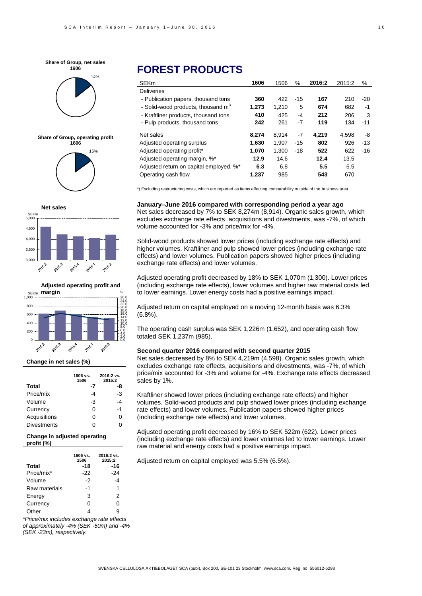



**Share of Group, operating profit 1606**







#### **Change in net sales (%)**

|                    | 1606 vs.<br>1506 | 2016:2 vs.<br>2015:2 |
|--------------------|------------------|----------------------|
| Total              | -7               | -8                   |
| Price/mix          | -4               | -3                   |
| Volume             | -3               | -4                   |
| Currency           | O                | -1                   |
| Acquisitions       | O                | ი                    |
| <b>Divestments</b> |                  | ი                    |

#### **Change in adjusted operating profit (%)**

|               | 1606 vs.<br>1506 | 2016:2 vs.<br>2015:2 |
|---------------|------------------|----------------------|
| <b>Total</b>  | -18              | -16                  |
| Price/mix*    | $-22$            | -24                  |
| Volume        | -2               | -4                   |
| Raw materials | -1               | 1                    |
| Energy        | 3                | 2                    |
| Currency      | U                | O                    |
| Other         |                  | 9                    |

*\*Price/mix includes exchange rate effects of approximately -4% (SEK -50m) and -4% (SEK -23m), respectively.*

## **FOREST PRODUCTS**

| <b>SEKm</b>                                    | 1606  | 1506  | %     | 2016:2 | 2015:2 | %     |
|------------------------------------------------|-------|-------|-------|--------|--------|-------|
| <b>Deliveries</b>                              |       |       |       |        |        |       |
| - Publication papers, thousand tons            | 360   | 422   | $-15$ | 167    | 210    | $-20$ |
| - Solid-wood products, thousand m <sup>3</sup> | 1,273 | 1.210 | 5     | 674    | 682    | $-1$  |
| - Kraftliner products, thousand tons           | 410   | 425   | $-4$  | 212    | 206    | 3     |
| - Pulp products, thousand tons                 | 242   | 261   | $-7$  | 119    | 134    | $-11$ |
| Net sales                                      | 8,274 | 8.914 | $-7$  | 4.219  | 4.598  | -8    |
| Adjusted operating surplus                     | 1.630 | 1.907 | $-15$ | 802    | 926    | $-13$ |
| Adjusted operating profit*                     | 1.070 | 1.300 | $-18$ | 522    | 622    | $-16$ |
| Adjusted operating margin, %*                  | 12.9  | 14.6  |       | 12.4   | 13.5   |       |
| Adjusted return on capital employed, %*        | 6.3   | 6.8   |       | 5.5    | 6.5    |       |
| Operating cash flow                            | 1.237 | 985   |       | 543    | 670    |       |

\*) Excluding restructuring costs, which are reported as items affecting comparability outside of the business area.

**January–June 2016 compared with corresponding period a year ago** Net sales decreased by 7% to SEK 8,274m (8,914). Organic sales growth, which excludes exchange rate effects, acquisitions and divestments, was -7%, of which volume accounted for -3% and price/mix for -4%.

Solid-wood products showed lower prices (including exchange rate effects) and higher volumes. Kraftliner and pulp showed lower prices (including exchange rate effects) and lower volumes. Publication papers showed higher prices (including exchange rate effects) and lower volumes.

Adjusted operating profit decreased by 18% to SEK 1,070m (1,300). Lower prices (including exchange rate effects), lower volumes and higher raw material costs led to lower earnings. Lower energy costs had a positive earnings impact.

Adjusted return on capital employed on a moving 12-month basis was 6.3% (6.8%).

The operating cash surplus was SEK 1,226m (1,652), and operating cash flow totaled SEK 1,237m (985).

#### **Second quarter 2016 compared with second quarter 2015**

Net sales decreased by 8% to SEK 4,219m (4,598). Organic sales growth, which excludes exchange rate effects, acquisitions and divestments, was -7%, of which price/mix accounted for -3% and volume for -4%. Exchange rate effects decreased sales by 1%.

Kraftliner showed lower prices (including exchange rate effects) and higher volumes. Solid-wood products and pulp showed lower prices (including exchange rate effects) and lower volumes. Publication papers showed higher prices (including exchange rate effects) and lower volumes.

Adjusted operating profit decreased by 16% to SEK 522m (622). Lower prices (including exchange rate effects) and lower volumes led to lower earnings. Lower raw material and energy costs had a positive earnings impact.

Adjusted return on capital employed was 5.5% (6.5%).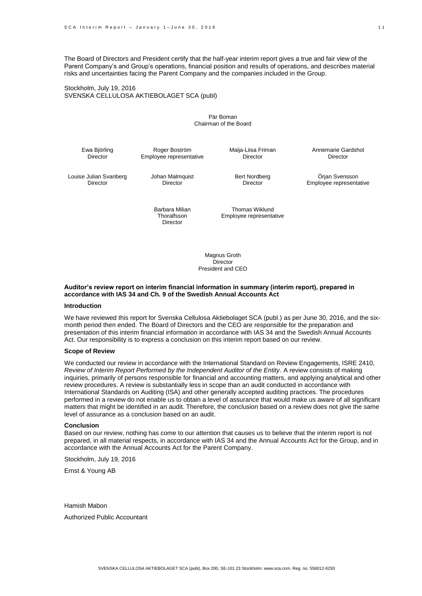The Board of Directors and President certify that the half-year interim report gives a true and fair view of the Parent Company's and Group's operations, financial position and results of operations, and describes material risks and uncertainties facing the Parent Company and the companies included in the Group.

Stockholm, July 19, 2016 SVENSKA CELLULOSA AKTIEBOLAGET SCA (publ)

#### Pär Boman Chairman of the Board

| Ewa Björling |  |
|--------------|--|
| Director     |  |

Roger Boström Employee representative Maija-Liisa Friman Director

Annemarie Gardshol **Director** 

Louise Julian Svanberg Director

Johan Malmquist Director

Bert Nordberg Director

Örjan Svensson Employee representative

Barbara Milian Thoralfsson Director

Thomas Wiklund Employee representative

Magnus Groth **Director** President and CEO

#### **Auditor's review report on interim financial information in summary (interim report), prepared in accordance with IAS 34 and Ch. 9 of the Swedish Annual Accounts Act**

#### **Introduction**

We have reviewed this report for Svenska Cellulosa Aktiebolaget SCA (publ.) as per June 30, 2016, and the sixmonth period then ended. The Board of Directors and the CEO are responsible for the preparation and presentation of this interim financial information in accordance with IAS 34 and the Swedish Annual Accounts Act. Our responsibility is to express a conclusion on this interim report based on our review.

#### **Scope of Review**

We conducted our review in accordance with the International Standard on Review Engagements, ISRE 2410, *Review of Interim Report Performed by the Independent Auditor of the Entity*. A review consists of making inquiries, primarily of persons responsible for financial and accounting matters, and applying analytical and other review procedures. A review is substantially less in scope than an audit conducted in accordance with International Standards on Auditing (ISA) and other generally accepted auditing practices. The procedures performed in a review do not enable us to obtain a level of assurance that would make us aware of all significant matters that might be identified in an audit. Therefore, the conclusion based on a review does not give the same level of assurance as a conclusion based on an audit.

#### **Conclusion**

Based on our review, nothing has come to our attention that causes us to believe that the interim report is not prepared, in all material respects, in accordance with IAS 34 and the Annual Accounts Act for the Group, and in accordance with the Annual Accounts Act for the Parent Company.

Stockholm, July 19, 2016

Ernst & Young AB

Hamish Mabon Authorized Public Accountant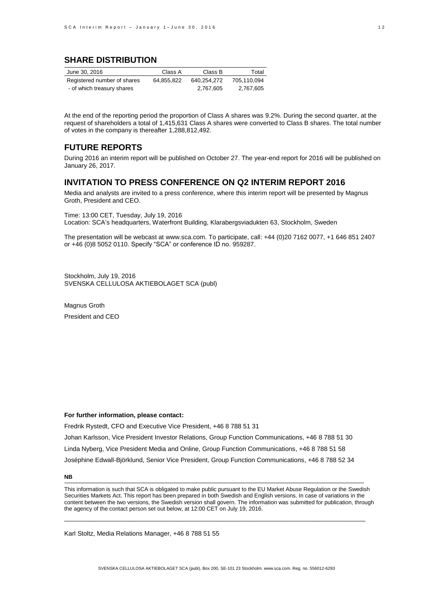### **SHARE DISTRIBUTION**

| June 30, 2016               | Class A    | Class B     | Total       |
|-----------------------------|------------|-------------|-------------|
| Registered number of shares | 64.855.822 | 640.254.272 | 705.110.094 |
| - of which treasury shares  |            | 2.767.605   | 2.767.605   |

At the end of the reporting period the proportion of Class A shares was 9.2%. During the second quarter, at the request of shareholders a total of 1,415,631 Class A shares were converted to Class B shares. The total number of votes in the company is thereafter 1,288,812,492.

#### **FUTURE REPORTS**

During 2016 an interim report will be published on October 27. The year-end report for 2016 will be published on January 26, 2017.

### **INVITATION TO PRESS CONFERENCE ON Q2 INTERIM REPORT 2016**

Media and analysts are invited to a press conference, where this interim report will be presented by Magnus Groth, President and CEO.

Time: 13:00 CET, Tuesday, July 19, 2016 Location: SCA's headquarters, Waterfront Building, Klarabergsviadukten 63, Stockholm, Sweden

The presentation will be webcast at www.sca.com. To participate, call: +44 (0)20 7162 0077, +1 646 851 2407 or +46 (0)8 5052 0110. Specify "SCA" or conference ID no. 959287.

Stockholm, July 19, 2016 SVENSKA CELLULOSA AKTIEBOLAGET SCA (publ)

Magnus Groth President and CEO

#### **For further information, please contact:**

Fredrik Rystedt, CFO and Executive Vice President, +46 8 788 51 31 Johan Karlsson, Vice President Investor Relations, Group Function Communications, +46 8 788 51 30 Linda Nyberg, Vice President Media and Online, Group Function Communications, +46 8 788 51 58 Joséphine Edwall-Björklund, Senior Vice President, Group Function Communications, +46 8 788 52 34

#### **NB**

This information is such that SCA is obligated to make public pursuant to the EU Market Abuse Regulation or the Swedish Securities Markets Act. This report has been prepared in both Swedish and English versions. In case of variations in the content between the two versions, the Swedish version shall govern. The information was submitted for publication, through the agency of the contact person set out below, at 12:00 CET on July 19, 2016.

 $\_$  ,  $\_$  ,  $\_$  ,  $\_$  ,  $\_$  ,  $\_$  ,  $\_$  ,  $\_$  ,  $\_$  ,  $\_$  ,  $\_$  ,  $\_$  ,  $\_$  ,  $\_$  ,  $\_$  ,  $\_$  ,  $\_$  ,  $\_$  ,  $\_$  ,  $\_$  ,  $\_$  ,  $\_$  ,  $\_$  ,  $\_$  ,  $\_$  ,  $\_$  ,  $\_$  ,  $\_$  ,  $\_$  ,  $\_$  ,  $\_$  ,  $\_$  ,  $\_$  ,  $\_$  ,  $\_$  ,  $\_$  ,  $\_$  ,

Karl Stoltz, Media Relations Manager, +46 8 788 51 55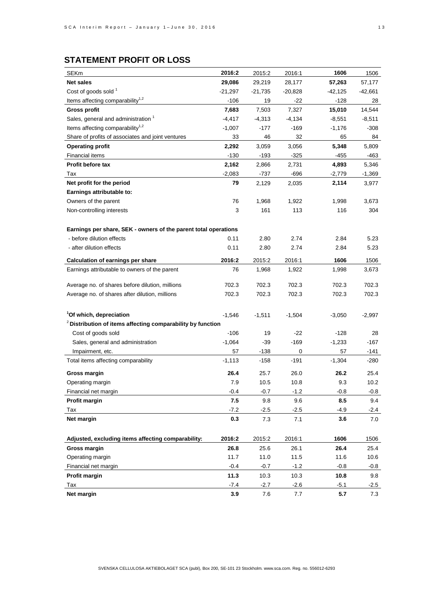## **STATEMENT PROFIT OR LOSS**

| <b>SEKm</b>                                                     | 2016:2    | 2015:2   | 2016:1    | 1606     | 1506      |
|-----------------------------------------------------------------|-----------|----------|-----------|----------|-----------|
| <b>Net sales</b>                                                | 29,086    | 29,219   | 28,177    | 57,263   | 57,177    |
| Cost of goods sold <sup>1</sup>                                 | $-21,297$ | -21,735  | $-20,828$ | -42,125  | $-42,661$ |
| Items affecting comparability <sup>1,2</sup>                    | $-106$    | 19       | $-22$     | $-128$   | 28        |
| <b>Gross profit</b>                                             | 7,683     | 7,503    | 7,327     | 15,010   | 14,544    |
| Sales, general and administration <sup>1</sup>                  | $-4,417$  | $-4,313$ | $-4,134$  | $-8,551$ | $-8,511$  |
| Items affecting comparability <sup>1,2</sup>                    | $-1,007$  | $-177$   | $-169$    | $-1,176$ | $-308$    |
| Share of profits of associates and joint ventures               | 33        | 46       | 32        | 65       | 84        |
| <b>Operating profit</b>                                         | 2,292     | 3,059    | 3,056     | 5,348    | 5,809     |
| Financial items                                                 | $-130$    | $-193$   | $-325$    | -455     | -463      |
| <b>Profit before tax</b>                                        | 2,162     | 2,866    | 2,731     | 4,893    | 5,346     |
| Tax                                                             | $-2,083$  | -737     | -696      | $-2,779$ | $-1,369$  |
| Net profit for the period                                       | 79        | 2,129    | 2,035     | 2,114    | 3,977     |
| Earnings attributable to:                                       |           |          |           |          |           |
| Owners of the parent                                            | 76        | 1,968    | 1,922     | 1,998    | 3,673     |
| Non-controlling interests                                       | 3         | 161      | 113       | 116      | 304       |
|                                                                 |           |          |           |          |           |
| Earnings per share, SEK - owners of the parent total operations |           |          |           |          |           |
| - before dilution effects                                       | 0.11      | 2.80     | 2.74      | 2.84     | 5.23      |
| - after dilution effects                                        | 0.11      | 2.80     | 2.74      | 2.84     | 5.23      |
| <b>Calculation of earnings per share</b>                        | 2016:2    | 2015:2   | 2016:1    | 1606     | 1506      |
| Earnings attributable to owners of the parent                   | 76        | 1,968    | 1,922     | 1,998    | 3,673     |
|                                                                 |           |          |           |          |           |
| Average no. of shares before dilution, millions                 | 702.3     | 702.3    | 702.3     | 702.3    | 702.3     |
| Average no. of shares after dilution, millions                  | 702.3     | 702.3    | 702.3     | 702.3    | 702.3     |
|                                                                 |           |          |           |          |           |
| <sup>1</sup> Of which, depreciation                             | $-1,546$  | $-1,511$ | $-1,504$  | $-3,050$ | $-2,997$  |
| $2$ Distribution of items affecting comparability by function   |           |          |           |          |           |
| Cost of goods sold                                              | $-106$    | 19       | $-22$     | $-128$   | 28        |
| Sales, general and administration                               | $-1,064$  | $-39$    | $-169$    | -1,233   | -167      |
| Impairment, etc.                                                | 57        | $-138$   | 0         | 57       | -141      |
| Total items affecting comparability                             | $-1,113$  | $-158$   | $-191$    | $-1,304$ | -280      |
| Gross margin                                                    | 26.4      | 25.7     | 26.0      | 26.2     | 25.4      |
| Operating margin                                                | 7.9       | 10.5     | 10.8      | 9.3      | 10.2      |
| Financial net margin                                            | -0.4      | -0.7     | $-1.2$    | -0.8     | -0.8      |
| Profit margin                                                   | 7.5       | 9.8      | 9.6       | 8.5      | 9.4       |
| Tax                                                             | $-7.2$    | -2.5     | $-2.5$    | -4.9     | -2.4      |
| Net margin                                                      | 0.3       | 7.3      | 7.1       | 3.6      | 7.0       |
|                                                                 |           |          |           |          |           |
| Adjusted, excluding items affecting comparability:              | 2016:2    | 2015:2   | 2016:1    | 1606     | 1506      |
| <b>Gross margin</b>                                             | 26.8      | 25.6     | 26.1      | 26.4     | 25.4      |
| Operating margin                                                | 11.7      | 11.0     | 11.5      | 11.6     | 10.6      |
| Financial net margin                                            | $-0.4$    | $-0.7$   | $-1.2$    | $-0.8$   | $-0.8$    |
| <b>Profit margin</b>                                            | 11.3      | 10.3     | 10.3      | 10.8     | 9.8       |
| Tax                                                             | $-7.4$    | -2.7     | $-2.6$    | $-5.1$   | $-2.5$    |
| Net margin                                                      | 3.9       | 7.6      | 7.7       | 5.7      | 7.3       |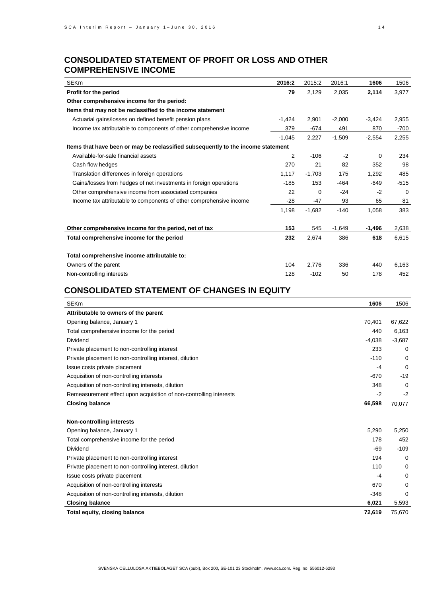### **CONSOLIDATED STATEMENT OF PROFIT OR LOSS AND OTHER COMPREHENSIVE INCOME**

| <b>SEKm</b>                                                                      | 2016:2         | 2015:2   | 2016:1   | 1606     | 1506   |
|----------------------------------------------------------------------------------|----------------|----------|----------|----------|--------|
| Profit for the period                                                            | 79             | 2,129    | 2,035    | 2,114    | 3,977  |
| Other comprehensive income for the period:                                       |                |          |          |          |        |
| Items that may not be reclassified to the income statement                       |                |          |          |          |        |
| Actuarial gains/losses on defined benefit pension plans                          | $-1,424$       | 2,901    | $-2,000$ | $-3,424$ | 2,955  |
| Income tax attributable to components of other comprehensive income              | 379            | $-674$   | 491      | 870      | $-700$ |
|                                                                                  | $-1,045$       | 2,227    | $-1,509$ | $-2,554$ | 2,255  |
| Items that have been or may be reclassified subsequently to the income statement |                |          |          |          |        |
| Available-for-sale financial assets                                              | $\overline{2}$ | $-106$   | $-2$     | 0        | 234    |
| Cash flow hedges                                                                 | 270            | 21       | 82       | 352      | 98     |
| Translation differences in foreign operations                                    | 1,117          | $-1,703$ | 175      | 1.292    | 485    |
| Gains/losses from hedges of net investments in foreign operations                | $-185$         | 153      | $-464$   | $-649$   | $-515$ |
| Other comprehensive income from associated companies                             | 22             | 0        | $-24$    | $-2$     | 0      |
| Income tax attributable to components of other comprehensive income              | $-28$          | -47      | 93       | 65       | 81     |
|                                                                                  | 1,198          | $-1,682$ | $-140$   | 1,058    | 383    |
| Other comprehensive income for the period, net of tax                            | 153            | 545      | $-1,649$ | $-1,496$ | 2,638  |
| Total comprehensive income for the period                                        | 232            | 2,674    | 386      | 618      | 6,615  |
| Total comprehensive income attributable to:                                      |                |          |          |          |        |
| Owners of the parent                                                             | 104            | 2.776    | 336      | 440      | 6,163  |
| Non-controlling interests                                                        | 128            | $-102$   | 50       | 178      | 452    |

### **CONSOLIDATED STATEMENT OF CHANGES IN EQUITY**

| <b>SEKm</b>                                                        | 1606     | 1506     |
|--------------------------------------------------------------------|----------|----------|
| Attributable to owners of the parent                               |          |          |
| Opening balance, January 1                                         | 70,401   | 67,622   |
| Total comprehensive income for the period                          | 440      | 6,163    |
| Dividend                                                           | $-4,038$ | $-3,687$ |
| Private placement to non-controlling interest                      | 233      | 0        |
| Private placement to non-controlling interest, dilution            | $-110$   | 0        |
| Issue costs private placement                                      | $-4$     | 0        |
| Acquisition of non-controlling interests                           | $-670$   | $-19$    |
| Acquisition of non-controlling interests, dilution                 | 348      | 0        |
| Remeasurement effect upon acquisition of non-controlling interests | $-2$     | $-2$     |
| <b>Closing balance</b>                                             | 66,598   | 70,077   |
| <b>Non-controlling interests</b>                                   |          |          |
| Opening balance, January 1                                         | 5,290    | 5,250    |
| Total comprehensive income for the period                          | 178      | 452      |
| Dividend                                                           | $-69$    | $-109$   |
| Private placement to non-controlling interest                      | 194      | 0        |
| Private placement to non-controlling interest, dilution            | 110      | 0        |
| Issue costs private placement                                      | $-4$     | 0        |
| Acquisition of non-controlling interests                           | 670      | 0        |
| Acquisition of non-controlling interests, dilution                 | $-348$   | 0        |
| <b>Closing balance</b>                                             | 6,021    | 5,593    |
| Total equity, closing balance                                      | 72.619   | 75,670   |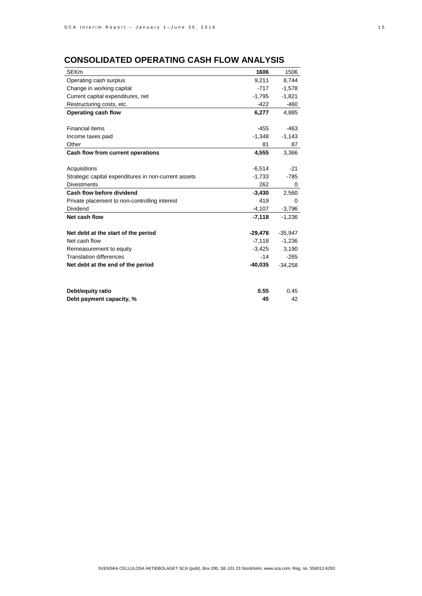## **CONSOLIDATED OPERATING CASH FLOW ANALYSIS**

| <b>SEKm</b>                                          | 1606      | 1506      |
|------------------------------------------------------|-----------|-----------|
| Operating cash surplus                               | 9.211     | 8.744     |
| Change in working capital                            | $-717$    | $-1,578$  |
| Current capital expenditures, net                    | $-1,795$  | $-1,821$  |
| Restructuring costs, etc.                            | $-422$    | $-460$    |
| Operating cash flow                                  | 6,277     | 4,885     |
|                                                      |           |           |
| <b>Financial items</b>                               | -455      | $-463$    |
| Income taxes paid                                    | $-1,348$  | $-1,143$  |
| Other                                                | 81        | 87        |
| Cash flow from current operations                    | 4,555     | 3,366     |
|                                                      |           |           |
| Acquisitions                                         | $-6,514$  | $-21$     |
| Strategic capital expenditures in non-current assets | $-1,733$  | $-785$    |
| <b>Divestments</b>                                   | 262       | 0         |
| Cash flow before dividend                            | $-3,430$  | 2,560     |
| Private placement to non-controlling interest        | 419       | $\Omega$  |
| Dividend                                             | $-4,107$  | $-3,796$  |
| Net cash flow                                        | $-7,118$  | $-1,236$  |
|                                                      |           |           |
| Net debt at the start of the period                  | -29,478   | $-35,947$ |
| Net cash flow                                        | $-7,118$  | $-1,236$  |
| Remeasurement to equity                              | $-3,425$  | 3,190     |
| <b>Translation differences</b>                       | $-14$     | $-265$    |
| Net debt at the end of the period                    | $-40,035$ | $-34,258$ |
|                                                      |           |           |
| Debt/equity ratio                                    | 0.55      | 0.45      |
| Debt payment capacity, %                             | 45        | 42        |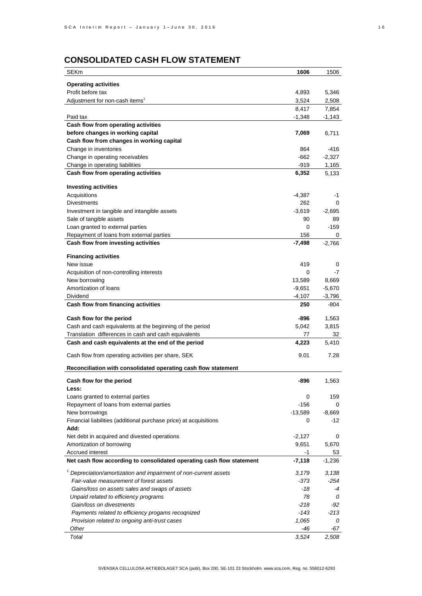## **CONSOLIDATED CASH FLOW STATEMENT**

| <b>SEKm</b>                                                           | 1606          | 1506               |
|-----------------------------------------------------------------------|---------------|--------------------|
|                                                                       |               |                    |
| <b>Operating activities</b>                                           |               |                    |
| Profit before tax                                                     | 4,893         | 5,346              |
| Adjustment for non-cash items <sup>1</sup>                            | 3,524         | 2,508              |
|                                                                       | 8,417         | 7,854              |
| Paid tax                                                              | $-1,348$      | $-1,143$           |
| Cash flow from operating activities                                   |               |                    |
| before changes in working capital                                     | 7,069         | 6,711              |
| Cash flow from changes in working capital                             |               |                    |
| Change in inventories<br>Change in operating receivables              | 864<br>$-662$ | $-416$<br>$-2,327$ |
|                                                                       | $-919$        |                    |
| Change in operating liabilities                                       |               | 1,165              |
| Cash flow from operating activities                                   | 6,352         | 5,133              |
| <b>Investing activities</b>                                           |               |                    |
| Acquisitions                                                          | $-4,387$      | -1                 |
| <b>Divestments</b>                                                    | 262           | 0                  |
| Investment in tangible and intangible assets                          | $-3,619$      | $-2,695$           |
| Sale of tangible assets                                               | 90            | 89                 |
| Loan granted to external parties                                      | 0             | $-159$             |
| Repayment of loans from external parties                              | 156           | 0                  |
| Cash flow from investing activities                                   | -7,498        | $-2,766$           |
|                                                                       |               |                    |
| <b>Financing activities</b>                                           |               |                    |
| New issue                                                             | 419           | 0                  |
| Acquisition of non-controlling interests                              | 0             | -7                 |
| New borrowing                                                         | 13,589        | 8,669              |
| Amortization of loans                                                 | $-9,651$      | $-5,670$           |
| Dividend                                                              | $-4,107$      | $-3,796$           |
| Cash flow from financing activities                                   | 250           | -804               |
| Cash flow for the period                                              | -896          | 1,563              |
| Cash and cash equivalents at the beginning of the period              | 5,042         | 3,815              |
| Translation differences in cash and cash equivalents                  | 77            | 32                 |
| Cash and cash equivalents at the end of the period                    | 4,223         | 5,410              |
|                                                                       |               |                    |
| Cash flow from operating activities per share, SEK                    | 9.01          | 7.28               |
| Reconciliation with consolidated operating cash flow statement        |               |                    |
|                                                                       |               |                    |
| Cash flow for the period                                              | -896          | 1,563              |
| Less:                                                                 |               |                    |
| Loans granted to external parties                                     | 0             | 159                |
| Repayment of loans from external parties                              | -156          | 0                  |
| New borrowings                                                        | -13,589       | $-8,669$           |
| Financial liabilities (additional purchase price) at acquisitions     | 0             | -12                |
| Add:                                                                  |               |                    |
| Net debt in acquired and divested operations                          | $-2,127$      | 0                  |
| Amortization of borrowing                                             | 9,651         | 5,670              |
| Accrued interest                                                      | -1            | 53                 |
| Net cash flow according to consolidated operating cash flow statement | -7,118        | $-1,236$           |
| $1$ Depreciation/amortization and impairment of non-current assets    | 3,179         | 3,138              |
| Fair-value measurement of forest assets                               | $-373$        | -254               |
| Gains/loss on assets sales and swaps of assets                        | -18           | -4                 |
| Unpaid related to efficiency programs                                 | 78            | 0                  |
| Gain/loss on divestments                                              | $-218$        | -92                |
| Payments related to efficiency progams recoqnized                     | $-143$        | $-213$             |
| Provision related to ongoing anti-trust cases                         | 1,065         | 0                  |
| Other                                                                 | -46           | -67                |
| Total                                                                 | 3,524         | 2,508              |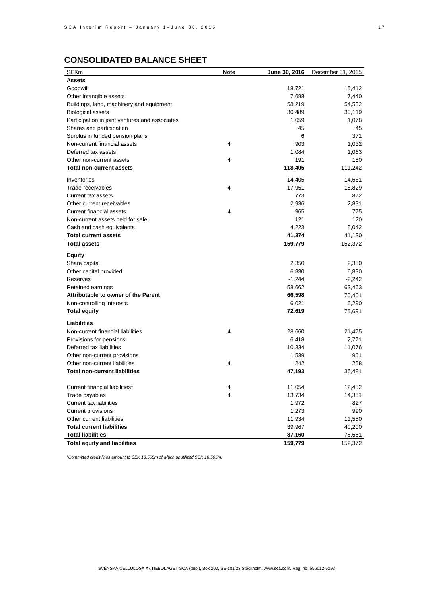## **CONSOLIDATED BALANCE SHEET**

| <b>SEKm</b>                                    | <b>Note</b> | June 30, 2016 | December 31, 2015 |
|------------------------------------------------|-------------|---------------|-------------------|
| Assets                                         |             |               |                   |
| Goodwill                                       |             | 18,721        | 15,412            |
| Other intangible assets                        |             | 7,688         | 7,440             |
| Buildings, land, machinery and equipment       |             | 58,219        | 54,532            |
| <b>Biological assets</b>                       |             | 30,489        | 30,119            |
| Participation in joint ventures and associates |             | 1,059         | 1,078             |
| Shares and participation                       |             | 45            | 45                |
| Surplus in funded pension plans                |             | 6             | 371               |
| Non-current financial assets                   | 4           | 903           | 1,032             |
| Deferred tax assets                            |             | 1,084         | 1,063             |
| Other non-current assets                       | 4           | 191           | 150               |
| <b>Total non-current assets</b>                |             | 118,405       | 111,242           |
| Inventories                                    |             | 14,405        | 14,661            |
| Trade receivables                              | 4           | 17,951        | 16,829            |
| Current tax assets                             |             | 773           | 872               |
| Other current receivables                      |             | 2,936         | 2.831             |
| <b>Current financial assets</b>                | 4           | 965           | 775               |
| Non-current assets held for sale               |             | 121           | 120               |
| Cash and cash equivalents                      |             | 4,223         | 5,042             |
| <b>Total current assets</b>                    |             | 41,374        | 41,130            |
| <b>Total assets</b>                            |             | 159,779       | 152,372           |
|                                                |             |               |                   |
| <b>Equity</b>                                  |             |               |                   |
| Share capital                                  |             | 2,350         | 2,350             |
| Other capital provided                         |             | 6,830         | 6,830             |
| Reserves                                       |             | $-1,244$      | $-2,242$          |
| Retained earnings                              |             | 58,662        | 63,463            |
| Attributable to owner of the Parent            |             | 66,598        | 70,401            |
| Non-controlling interests                      |             | 6,021         | 5,290             |
| <b>Total equity</b>                            |             | 72,619        | 75,691            |
| <b>Liabilities</b>                             |             |               |                   |
| Non-current financial liabilities              | 4           | 28,660        | 21,475            |
| Provisions for pensions                        |             | 6,418         | 2,771             |
| Deferred tax liabilities                       |             | 10,334        | 11,076            |
| Other non-current provisions                   |             | 1,539         | 901               |
| Other non-current liabilities                  | 4           | 242           | 258               |
| <b>Total non-current liabilities</b>           |             | 47,193        | 36,481            |
|                                                |             |               |                   |
| Current financial liabilities <sup>1</sup>     | 4           | 11,054        | 12,452            |
| Trade payables                                 | 4           | 13,734        | 14,351            |
| <b>Current tax liabilities</b>                 |             | 1,972         | 827               |
| Current provisions                             |             | 1,273         | 990               |
| Other current liabilities                      |             | 11,934        | 11,580            |
| <b>Total current liabilities</b>               |             | 39,967        | 40,200            |
| <b>Total liabilities</b>                       |             | 87,160        | 76,681            |
| <b>Total equity and liabilities</b>            |             | 159,779       | 152,372           |

*<sup>1</sup>Committed credit lines amount to SEK 18,505m of which unutilized SEK 18,505m.*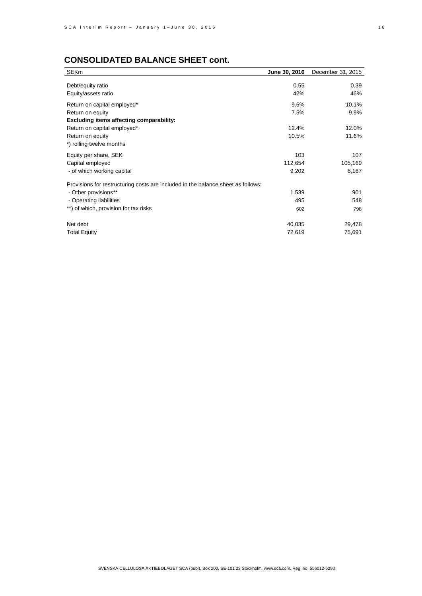## **CONSOLIDATED BALANCE SHEET cont.**

| <b>SEKm</b>                                                                                                                                                                  | June 30, 2016           | December 31, 2015       |
|------------------------------------------------------------------------------------------------------------------------------------------------------------------------------|-------------------------|-------------------------|
| Debt/equity ratio<br>Equity/assets ratio                                                                                                                                     | 0.55<br>42%             | 0.39<br>46%             |
| Return on capital employed*<br>Return on equity<br><b>Excluding items affecting comparability:</b>                                                                           | 9.6%<br>7.5%            | 10.1%<br>9.9%           |
| Return on capital employed*<br>Return on equity<br>*) rolling twelve months                                                                                                  | 12.4%<br>10.5%          | 12.0%<br>11.6%          |
| Equity per share, SEK<br>Capital employed<br>- of which working capital                                                                                                      | 103<br>112,654<br>9,202 | 107<br>105,169<br>8,167 |
| Provisions for restructuring costs are included in the balance sheet as follows:<br>- Other provisions**<br>- Operating liabilities<br>**) of which, provision for tax risks | 1,539<br>495<br>602     | 901<br>548<br>798       |
| Net debt<br><b>Total Equity</b>                                                                                                                                              | 40,035<br>72,619        | 29,478<br>75,691        |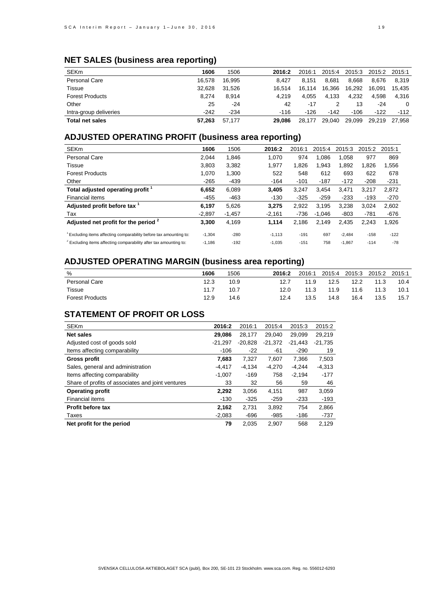## **NET SALES (business area reporting)**

|                        | . .    |        |        |        |        |        |        |        |
|------------------------|--------|--------|--------|--------|--------|--------|--------|--------|
| <b>SEKm</b>            | 1606   | 1506   | 2016:2 | 2016:1 | 2015:4 | 2015:3 | 2015:2 | 2015:1 |
| Personal Care          | 16.578 | 16.995 | 8.427  | 8.151  | 8.681  | 8.668  | 8.676  | 8.319  |
| Tissue                 | 32,628 | 31.526 | 16.514 | 16.114 | 16.366 | 16,292 | 16.091 | 15.435 |
| <b>Forest Products</b> | 8.274  | 8.914  | 4.219  | 4.055  | 4,133  | 4,232  | 4.598  | 4.316  |
| Other                  | 25     | $-24$  | 42     | $-17$  |        | 13     | -24    | 0      |
| Intra-group deliveries | $-242$ | $-234$ | $-116$ | $-126$ | $-142$ | -106   | $-122$ | $-112$ |
| <b>Total net sales</b> | 57.263 | 57.177 | 29,086 | 28.177 | 29,040 | 29.099 | 29.219 | 27.958 |

## **ADJUSTED OPERATING PROFIT (business area reporting)**

| <b>SEKm</b>                                                                   | 1606     | 1506     | 2016:2   | 2016:1 | 2015:4   | 2015:3   | 2015:2 | 2015:1 |
|-------------------------------------------------------------------------------|----------|----------|----------|--------|----------|----------|--------|--------|
| <b>Personal Care</b>                                                          | 2.044    | 1,846    | 1,070    | 974    | 1,086    | 1,058    | 977    | 869    |
| Tissue                                                                        | 3,803    | 3,382    | 1,977    | 1,826  | 1,943    | 1,892    | 1,826  | 1,556  |
| <b>Forest Products</b>                                                        | 1.070    | 1,300    | 522      | 548    | 612      | 693      | 622    | 678    |
| Other                                                                         | $-265$   | $-439$   | $-164$   | $-101$ | $-187$   | $-172$   | $-208$ | $-231$ |
| Total adjusted operating profit 1                                             | 6.652    | 6,089    | 3,405    | 3.247  | 3.454    | 3.471    | 3,217  | 2,872  |
| Financial items                                                               | $-455$   | $-463$   | $-130$   | $-325$ | $-259$   | $-233$   | $-193$ | $-270$ |
| Adjusted profit before tax <sup>1</sup>                                       | 6.197    | 5,626    | 3.275    | 2.922  | 3.195    | 3,238    | 3,024  | 2,602  |
| Tax                                                                           | $-2,897$ | $-1,457$ | $-2,161$ | $-736$ | $-1,046$ | $-803$   | $-781$ | $-676$ |
| Adjusted net profit for the period <sup>2</sup>                               | 3,300    | 4,169    | 1,114    | 2,186  | 2,149    | 2,435    | 2,243  | 1,926  |
| <sup>1</sup> Excluding items affecting comparability before tax amounting to: | $-1,304$ | $-280$   | $-1,113$ | $-191$ | 697      | $-2,484$ | $-158$ | $-122$ |
| <sup>2</sup> Excluding items affecting comparability after tax amounting to:  | $-1,186$ | $-192$   | $-1,035$ | $-151$ | 758      | $-1,867$ | $-114$ | $-78$  |

## **ADJUSTED OPERATING MARGIN (business area reporting)**

| %                      | 1606 | 1506 | 2016:2 | 2016:1 | 2015:4 | 2015:3 | 2015:2 | 2015:1 |
|------------------------|------|------|--------|--------|--------|--------|--------|--------|
| Personal Care          | 12.3 | 10.9 | 12.7   | 11.9   | 12.5   | 12.2   | 11.3   | 10.4   |
| Tissue                 | 11.7 | 10.7 | 12.0   | 11.3   | 11.9   | 11.6   | 11.3   | 10.1   |
| <b>Forest Products</b> | 12.9 | 14.6 | 12.4   | 13.5   | 14.8   | 16.4   | 13.5   | 15.7   |

## **STATEMENT OF PROFIT OR LOSS**

| <b>SEKm</b>                                       | 2016:2    | 2016:1    | 2015:4    | 2015:3    | 2015:2    |
|---------------------------------------------------|-----------|-----------|-----------|-----------|-----------|
| <b>Net sales</b>                                  | 29,086    | 28.177    | 29.040    | 29.099    | 29.219    |
| Adjusted cost of goods sold                       | $-21,297$ | $-20.828$ | $-21,372$ | $-21.443$ | $-21,735$ |
| Items affecting comparability                     | $-106$    | $-22$     | -61       | $-290$    | 19        |
| <b>Gross profit</b>                               | 7,683     | 7,327     | 7.607     | 7,366     | 7,503     |
| Sales, general and administration                 | $-4.417$  | $-4.134$  | -4,270    | $-4,244$  | $-4,313$  |
| Items affecting comparability                     | $-1.007$  | $-169$    | 758       | $-2.194$  | $-177$    |
| Share of profits of associates and joint ventures | 33        | 32        | 56        | 59        | 46        |
| <b>Operating profit</b>                           | 2,292     | 3.056     | 4.151     | 987       | 3,059     |
| Financial items                                   | $-130$    | $-325$    | $-259$    | $-233$    | -193      |
| <b>Profit before tax</b>                          | 2,162     | 2.731     | 3.892     | 754       | 2,866     |
| Taxes                                             | $-2,083$  | $-696$    | $-985$    | -186      | $-737$    |
| Net profit for the period                         | 79        | 2.035     | 2.907     | 568       | 2.129     |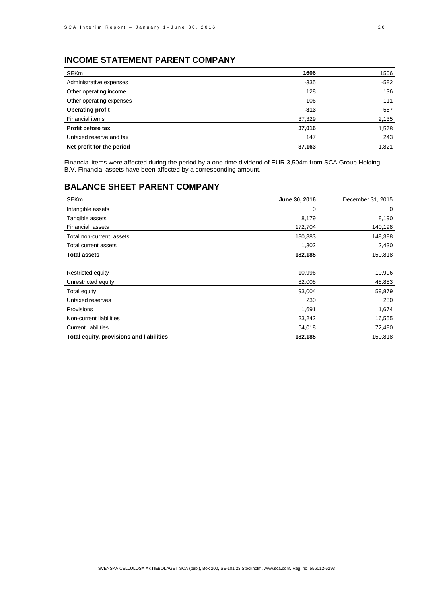### **INCOME STATEMENT PARENT COMPANY**

| SEKm                      | 1606   | 1506   |
|---------------------------|--------|--------|
| Administrative expenses   | $-335$ | $-582$ |
| Other operating income    | 128    | 136    |
| Other operating expenses  | $-106$ | $-111$ |
| <b>Operating profit</b>   | $-313$ | $-557$ |
| Financial items           | 37,329 | 2,135  |
| Profit before tax         | 37,016 | 1,578  |
| Untaxed reserve and tax   | 147    | 243    |
| Net profit for the period | 37,163 | 1,821  |

Financial items were affected during the period by a one-time dividend of EUR 3,504m from SCA Group Holding B.V. Financial assets have been affected by a corresponding amount.

### **BALANCE SHEET PARENT COMPANY**

| <b>SEKm</b>                              | June 30, 2016 | December 31, 2015 |
|------------------------------------------|---------------|-------------------|
| Intangible assets                        | 0             | 0                 |
| Tangible assets                          | 8,179         | 8,190             |
| Financial assets                         | 172,704       | 140,198           |
| Total non-current assets                 | 180,883       | 148,388           |
| Total current assets                     | 1,302         | 2,430             |
| <b>Total assets</b>                      | 182,185       | 150,818           |
|                                          |               |                   |
| Restricted equity                        | 10,996        | 10,996            |
| Unrestricted equity                      | 82,008        | 48,883            |
| Total equity                             | 93,004        | 59,879            |
| Untaxed reserves                         | 230           | 230               |
| Provisions                               | 1,691         | 1,674             |
| Non-current liabilities                  | 23,242        | 16,555            |
| <b>Current liabilities</b>               | 64,018        | 72,480            |
| Total equity, provisions and liabilities | 182,185       | 150,818           |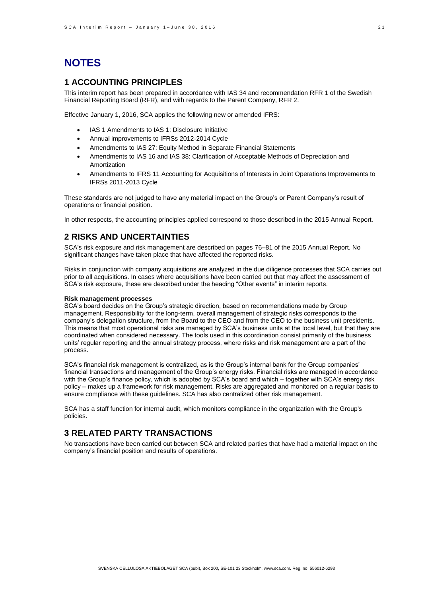## **NOTES**

### **1 ACCOUNTING PRINCIPLES**

This interim report has been prepared in accordance with IAS 34 and recommendation RFR 1 of the Swedish Financial Reporting Board (RFR), and with regards to the Parent Company, RFR 2.

Effective January 1, 2016, SCA applies the following new or amended IFRS:

- IAS 1 Amendments to IAS 1: Disclosure Initiative
- Annual improvements to IFRSs 2012-2014 Cycle
- Amendments to IAS 27: Equity Method in Separate Financial Statements
- Amendments to IAS 16 and IAS 38: Clarification of Acceptable Methods of Depreciation and Amortization
- Amendments to IFRS 11 Accounting for Acquisitions of Interests in Joint Operations Improvements to IFRSs 2011-2013 Cycle

These standards are not judged to have any material impact on the Group's or Parent Company's result of operations or financial position.

In other respects, the accounting principles applied correspond to those described in the 2015 Annual Report.

### **2 RISKS AND UNCERTAINTIES**

SCA's risk exposure and risk management are described on pages 76–81 of the 2015 Annual Report. No significant changes have taken place that have affected the reported risks.

Risks in conjunction with company acquisitions are analyzed in the due diligence processes that SCA carries out prior to all acquisitions. In cases where acquisitions have been carried out that may affect the assessment of SCA's risk exposure, these are described under the heading "Other events" in interim reports.

#### **Risk management processes**

SCA's board decides on the Group's strategic direction, based on recommendations made by Group management. Responsibility for the long-term, overall management of strategic risks corresponds to the company's delegation structure, from the Board to the CEO and from the CEO to the business unit presidents. This means that most operational risks are managed by SCA's business units at the local level, but that they are coordinated when considered necessary. The tools used in this coordination consist primarily of the business units' regular reporting and the annual strategy process, where risks and risk management are a part of the process.

SCA's financial risk management is centralized, as is the Group's internal bank for the Group companies' financial transactions and management of the Group's energy risks. Financial risks are managed in accordance with the Group's finance policy, which is adopted by SCA's board and which – together with SCA's energy risk policy – makes up a framework for risk management. Risks are aggregated and monitored on a regular basis to ensure compliance with these guidelines. SCA has also centralized other risk management.

SCA has a staff function for internal audit, which monitors compliance in the organization with the Group's policies.

### **3 RELATED PARTY TRANSACTIONS**

No transactions have been carried out between SCA and related parties that have had a material impact on the company's financial position and results of operations.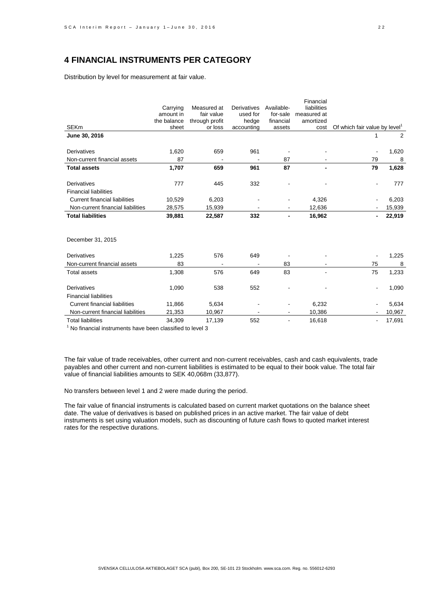### **4 FINANCIAL INSTRUMENTS PER CATEGORY**

Distribution by level for measurement at fair value.

|                                      |             |                |             |            | Financial   |                                           |        |
|--------------------------------------|-------------|----------------|-------------|------------|-------------|-------------------------------------------|--------|
|                                      | Carrying    | Measured at    | Derivatives | Available- | liabilities |                                           |        |
|                                      | amount in   | fair value     | used for    | for-sale   | measured at |                                           |        |
|                                      | the balance | through profit | hedge       | financial  | amortized   |                                           |        |
| <b>SEKm</b>                          | sheet       | or loss        | accounting  | assets     | cost        | Of which fair value by level <sup>1</sup> |        |
| June 30, 2016                        |             |                |             |            |             | 1                                         | 2      |
|                                      |             |                |             |            |             |                                           |        |
| Derivatives                          | 1,620       | 659            | 961         |            |             | ٠                                         | 1,620  |
| Non-current financial assets         | 87          |                |             | 87         |             | 79                                        | 8      |
| <b>Total assets</b>                  | 1,707       | 659            | 961         | 87         |             | 79                                        | 1,628  |
| <b>Derivatives</b>                   | 777         | 445            | 332         |            |             |                                           | 777    |
| <b>Financial liabilities</b>         |             |                |             |            |             |                                           |        |
| <b>Current financial liabilities</b> | 10,529      | 6,203          |             |            | 4,326       |                                           | 6,203  |
| Non-current financial liabilities    | 28,575      | 15,939         |             |            | 12,636      |                                           | 15,939 |
|                                      |             |                |             |            |             |                                           |        |
| <b>Total liabilities</b>             | 39,881      | 22,587         | 332         |            | 16,962      | ۰                                         | 22,919 |
| December 31, 2015                    |             |                |             |            |             |                                           |        |
| Derivatives                          | 1,225       | 576            | 649         |            |             | $\qquad \qquad \blacksquare$              | 1,225  |
| Non-current financial assets         | 83          |                |             | 83         |             | 75                                        | 8      |
| <b>Total assets</b>                  | 1,308       | 576            | 649         | 83         |             | 75                                        | 1,233  |
|                                      |             |                |             |            |             |                                           |        |
| Derivatives                          | 1,090       | 538            | 552         |            |             | ٠                                         | 1,090  |
| <b>Financial liabilities</b>         |             |                |             |            |             |                                           |        |
| <b>Current financial liabilities</b> | 11,866      | 5,634          |             |            | 6,232       |                                           | 5,634  |
| Non-current financial liabilities    | 21,353      | 10,967         |             |            | 10,386      |                                           | 10,967 |
| <b>Total liabilities</b>             | 34.309      | 17,139         | 552         |            | 16,618      | $\qquad \qquad \blacksquare$              | 17,691 |

 $1$  No financial instruments have been classified to level 3

The fair value of trade receivables, other current and non-current receivables, cash and cash equivalents, trade payables and other current and non-current liabilities is estimated to be equal to their book value. The total fair value of financial liabilities amounts to SEK 40,068m (33,877).

No transfers between level 1 and 2 were made during the period.

The fair value of financial instruments is calculated based on current market quotations on the balance sheet date. The value of derivatives is based on published prices in an active market. The fair value of debt instruments is set using valuation models, such as discounting of future cash flows to quoted market interest rates for the respective durations.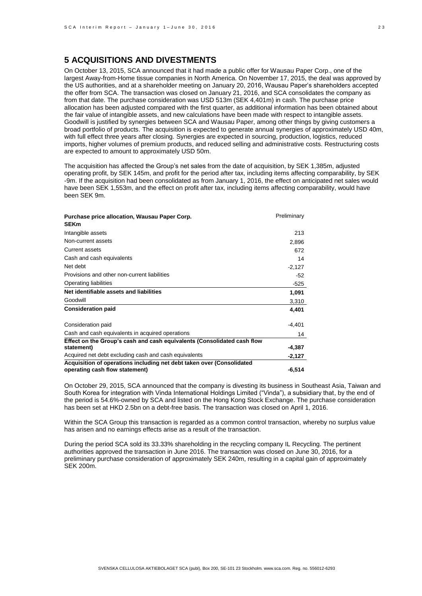### **5 ACQUISITIONS AND DIVESTMENTS**

On October 13, 2015, SCA announced that it had made a public offer for Wausau Paper Corp., one of the largest Away-from-Home tissue companies in North America. On November 17, 2015, the deal was approved by the US authorities, and at a shareholder meeting on January 20, 2016, Wausau Paper's shareholders accepted the offer from SCA. The transaction was closed on January 21, 2016, and SCA consolidates the company as from that date. The purchase consideration was USD 513m (SEK 4,401m) in cash. The purchase price allocation has been adjusted compared with the first quarter, as additional information has been obtained about the fair value of intangible assets, and new calculations have been made with respect to intangible assets. Goodwill is justified by synergies between SCA and Wausau Paper, among other things by giving customers a broad portfolio of products. The acquisition is expected to generate annual synergies of approximately USD 40m, with full effect three years after closing. Synergies are expected in sourcing, production, logistics, reduced imports, higher volumes of premium products, and reduced selling and administrative costs. Restructuring costs are expected to amount to approximately USD 50m.

The acquisition has affected the Group's net sales from the date of acquisition, by SEK 1,385m, adjusted operating profit, by SEK 145m, and profit for the period after tax, including items affecting comparability, by SEK -9m. If the acquisition had been consolidated as from January 1, 2016, the effect on anticipated net sales would have been SEK 1,553m, and the effect on profit after tax, including items affecting comparability, would have been SEK 9m.

| Purchase price allocation, Wausau Paper Corp.<br><b>SEKm</b>                                            | Preliminary |
|---------------------------------------------------------------------------------------------------------|-------------|
| Intangible assets                                                                                       | 213         |
| Non-current assets                                                                                      | 2,896       |
| Current assets                                                                                          | 672         |
| Cash and cash equivalents                                                                               | 14          |
| Net debt                                                                                                | $-2,127$    |
| Provisions and other non-current liabilities                                                            | -52         |
| Operating liabilities                                                                                   | $-525$      |
| Net identifiable assets and liabilities                                                                 | 1,091       |
| Goodwill                                                                                                | 3,310       |
| <b>Consideration paid</b>                                                                               | 4,401       |
| Consideration paid                                                                                      | $-4.401$    |
| Cash and cash equivalents in acquired operations                                                        | 14          |
| Effect on the Group's cash and cash equivalents (Consolidated cash flow                                 |             |
| statement)                                                                                              | -4,387      |
| Acquired net debt excluding cash and cash equivalents                                                   | -2,127      |
| Acquisition of operations including net debt taken over (Consolidated<br>operating cash flow statement) | $-6,514$    |

On October 29, 2015, SCA announced that the company is divesting its business in Southeast Asia, Taiwan and South Korea for integration with Vinda International Holdings Limited ("Vinda"), a subsidiary that, by the end of the period is 54.6%-owned by SCA and listed on the Hong Kong Stock Exchange. The purchase consideration has been set at HKD 2.5bn on a debt-free basis. The transaction was closed on April 1, 2016.

Within the SCA Group this transaction is regarded as a common control transaction, whereby no surplus value has arisen and no earnings effects arise as a result of the transaction.

During the period SCA sold its 33.33% shareholding in the recycling company IL Recycling. The pertinent authorities approved the transaction in June 2016. The transaction was closed on June 30, 2016, for a preliminary purchase consideration of approximately SEK 240m, resulting in a capital gain of approximately SEK 200m.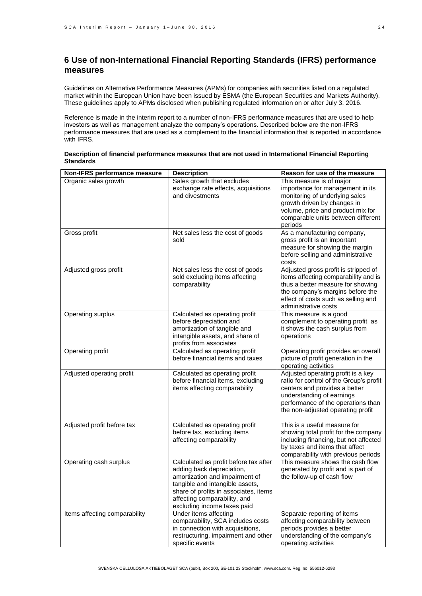### **6 Use of non-International Financial Reporting Standards (IFRS) performance measures**

Guidelines on Alternative Performance Measures (APMs) for companies with securities listed on a regulated market within the European Union have been issued by ESMA (the European Securities and Markets Authority). These guidelines apply to APMs disclosed when publishing regulated information on or after July 3, 2016.

Reference is made in the interim report to a number of non-IFRS performance measures that are used to help investors as well as management analyze the company's operations. Described below are the non-IFRS performance measures that are used as a complement to the financial information that is reported in accordance with IFRS.

| Description of financial performance measures that are not used in International Financial Reporting |  |
|------------------------------------------------------------------------------------------------------|--|
| <b>Standards</b>                                                                                     |  |

| Non-IFRS performance measure  | <b>Description</b>                                                                                                                                                                                                                              | Reason for use of the measure                                                                                                                                                                                          |
|-------------------------------|-------------------------------------------------------------------------------------------------------------------------------------------------------------------------------------------------------------------------------------------------|------------------------------------------------------------------------------------------------------------------------------------------------------------------------------------------------------------------------|
| Organic sales growth          | Sales growth that excludes<br>exchange rate effects, acquisitions<br>and divestments                                                                                                                                                            | This measure is of major<br>importance for management in its<br>monitoring of underlying sales<br>growth driven by changes in<br>volume, price and product mix for<br>comparable units between different<br>periods    |
| Gross profit                  | Net sales less the cost of goods<br>sold                                                                                                                                                                                                        | As a manufacturing company,<br>gross profit is an important<br>measure for showing the margin<br>before selling and administrative<br>costs                                                                            |
| Adjusted gross profit         | Net sales less the cost of goods<br>sold excluding items affecting<br>comparability                                                                                                                                                             | Adjusted gross profit is stripped of<br>items affecting comparability and is<br>thus a better measure for showing<br>the company's margins before the<br>effect of costs such as selling and<br>administrative costs   |
| Operating surplus             | Calculated as operating profit<br>before depreciation and<br>amortization of tangible and<br>intangible assets, and share of<br>profits from associates                                                                                         | This measure is a good<br>complement to operating profit, as<br>it shows the cash surplus from<br>operations                                                                                                           |
| Operating profit              | Calculated as operating profit<br>before financial items and taxes                                                                                                                                                                              | Operating profit provides an overall<br>picture of profit generation in the<br>operating activities                                                                                                                    |
| Adjusted operating profit     | Calculated as operating profit<br>before financial items, excluding<br>items affecting comparability                                                                                                                                            | Adjusted operating profit is a key<br>ratio for control of the Group's profit<br>centers and provides a better<br>understanding of earnings<br>performance of the operations than<br>the non-adjusted operating profit |
| Adjusted profit before tax    | Calculated as operating profit<br>before tax, excluding items<br>affecting comparability                                                                                                                                                        | This is a useful measure for<br>showing total profit for the company<br>including financing, but not affected<br>by taxes and items that affect<br>comparability with previous periods                                 |
| Operating cash surplus        | Calculated as profit before tax after<br>adding back depreciation,<br>amortization and impairment of<br>tangible and intangible assets,<br>share of profits in associates, items<br>affecting comparability, and<br>excluding income taxes paid | This measure shows the cash flow<br>generated by profit and is part of<br>the follow-up of cash flow                                                                                                                   |
| Items affecting comparability | Under items affecting<br>comparability, SCA includes costs<br>in connection with acquisitions,<br>restructuring, impairment and other<br>specific events                                                                                        | Separate reporting of items<br>affecting comparability between<br>periods provides a better<br>understanding of the company's<br>operating activities                                                                  |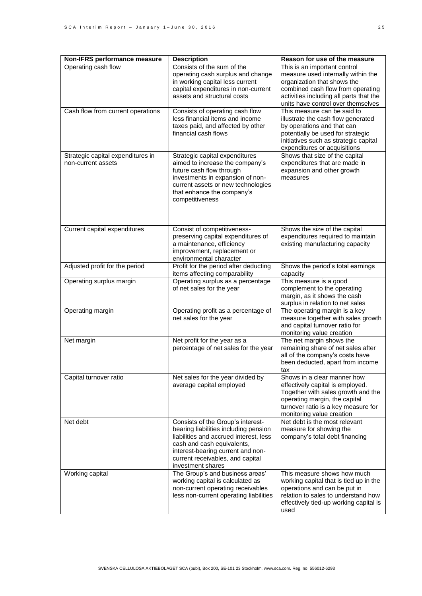| Non-IFRS performance measure                            | <b>Description</b>                                                                                                                                                                                                                               | Reason for use of the measure                                                                                                                                                                                           |
|---------------------------------------------------------|--------------------------------------------------------------------------------------------------------------------------------------------------------------------------------------------------------------------------------------------------|-------------------------------------------------------------------------------------------------------------------------------------------------------------------------------------------------------------------------|
| Operating cash flow                                     | Consists of the sum of the<br>operating cash surplus and change<br>in working capital less current<br>capital expenditures in non-current<br>assets and structural costs                                                                         | This is an important control<br>measure used internally within the<br>organization that shows the<br>combined cash flow from operating<br>activities including all parts that the<br>units have control over themselves |
| Cash flow from current operations                       | Consists of operating cash flow<br>less financial items and income<br>taxes paid, and affected by other<br>financial cash flows                                                                                                                  | This measure can be said to<br>illustrate the cash flow generated<br>by operations and that can<br>potentially be used for strategic<br>initiatives such as strategic capital<br>expenditures or acquisitions           |
| Strategic capital expenditures in<br>non-current assets | Strategic capital expenditures<br>aimed to increase the company's<br>future cash flow through<br>investments in expansion of non-<br>current assets or new technologies<br>that enhance the company's<br>competitiveness                         | Shows that size of the capital<br>expenditures that are made in<br>expansion and other growth<br>measures                                                                                                               |
| Current capital expenditures                            | Consist of competitiveness-<br>preserving capital expenditures of<br>a maintenance, efficiency<br>improvement, replacement or<br>environmental character                                                                                         | Shows the size of the capital<br>expenditures required to maintain<br>existing manufacturing capacity                                                                                                                   |
| Adjusted profit for the period                          | Profit for the period after deducting<br>items affecting comparability                                                                                                                                                                           | Shows the period's total earnings<br>capacity                                                                                                                                                                           |
| Operating surplus margin                                | Operating surplus as a percentage<br>of net sales for the year                                                                                                                                                                                   | This measure is a good<br>complement to the operating<br>margin, as it shows the cash<br>surplus in relation to net sales                                                                                               |
| Operating margin                                        | Operating profit as a percentage of<br>net sales for the year                                                                                                                                                                                    | The operating margin is a key<br>measure together with sales growth<br>and capital turnover ratio for<br>monitoring value creation                                                                                      |
| Net margin                                              | Net profit for the year as a<br>percentage of net sales for the year                                                                                                                                                                             | The net margin shows the<br>remaining share of net sales after<br>all of the company's costs have<br>been deducted, apart from income<br>tax                                                                            |
| Capital turnover ratio                                  | Net sales for the year divided by<br>average capital employed                                                                                                                                                                                    | Shows in a clear manner how<br>effectively capital is employed.<br>Together with sales growth and the<br>operating margin, the capital<br>turnover ratio is a key measure for<br>monitoring value creation              |
| Net debt                                                | Consists of the Group's interest-<br>bearing liabilities including pension<br>liabilities and accrued interest, less<br>cash and cash equivalents,<br>interest-bearing current and non-<br>current receivables, and capital<br>investment shares | Net debt is the most relevant<br>measure for showing the<br>company's total debt financing                                                                                                                              |
| Working capital                                         | The Group's and business areas'<br>working capital is calculated as<br>non-current operating receivables<br>less non-current operating liabilities                                                                                               | This measure shows how much<br>working capital that is tied up in the<br>operations and can be put in<br>relation to sales to understand how<br>effectively tied-up working capital is<br>used                          |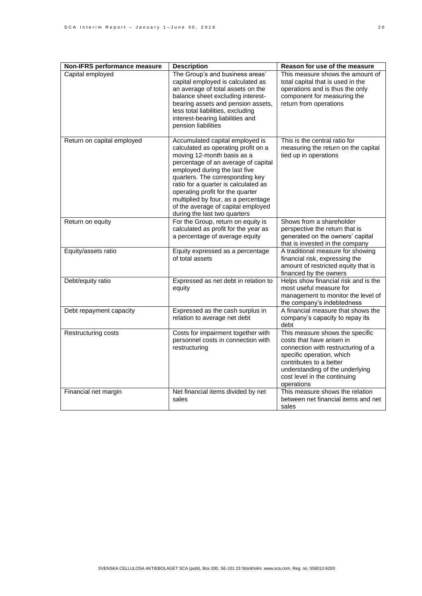| Non-IFRS performance measure | <b>Description</b>                                                                                                                                                                                                                                                                                                                                                                                       | Reason for use of the measure                                                                                                                                                                                                               |
|------------------------------|----------------------------------------------------------------------------------------------------------------------------------------------------------------------------------------------------------------------------------------------------------------------------------------------------------------------------------------------------------------------------------------------------------|---------------------------------------------------------------------------------------------------------------------------------------------------------------------------------------------------------------------------------------------|
| Capital employed             | The Group's and business areas'<br>capital employed is calculated as<br>an average of total assets on the<br>balance sheet excluding interest-<br>bearing assets and pension assets,<br>less total liabilities, excluding<br>interest-bearing liabilities and<br>pension liabilities                                                                                                                     | This measure shows the amount of<br>total capital that is used in the<br>operations and is thus the only<br>component for measuring the<br>return from operations                                                                           |
| Return on capital employed   | Accumulated capital employed is<br>calculated as operating profit on a<br>moving 12-month basis as a<br>percentage of an average of capital<br>employed during the last five<br>quarters. The corresponding key<br>ratio for a quarter is calculated as<br>operating profit for the quarter<br>multiplied by four, as a percentage<br>of the average of capital employed<br>during the last two quarters | This is the central ratio for<br>measuring the return on the capital<br>tied up in operations                                                                                                                                               |
| Return on equity             | For the Group, return on equity is<br>calculated as profit for the year as<br>a percentage of average equity                                                                                                                                                                                                                                                                                             | Shows from a shareholder<br>perspective the return that is<br>generated on the owners' capital<br>that is invested in the company                                                                                                           |
| Equity/assets ratio          | Equity expressed as a percentage<br>of total assets                                                                                                                                                                                                                                                                                                                                                      | A traditional measure for showing<br>financial risk, expressing the<br>amount of restricted equity that is<br>financed by the owners                                                                                                        |
| Debt/equity ratio            | Expressed as net debt in relation to<br>equity                                                                                                                                                                                                                                                                                                                                                           | Helps show financial risk and is the<br>most useful measure for<br>management to monitor the level of<br>the company's indebtedness                                                                                                         |
| Debt repayment capacity      | Expressed as the cash surplus in<br>relation to average net debt                                                                                                                                                                                                                                                                                                                                         | A financial measure that shows the<br>company's capacity to repay its<br>debt                                                                                                                                                               |
| Restructuring costs          | Costs for impairment together with<br>personnel costs in connection with<br>restructuring                                                                                                                                                                                                                                                                                                                | This measure shows the specific<br>costs that have arisen in<br>connection with restructuring of a<br>specific operation, which<br>contributes to a better<br>understanding of the underlying<br>cost level in the continuing<br>operations |
| Financial net margin         | Net financial items divided by net<br>sales                                                                                                                                                                                                                                                                                                                                                              | This measure shows the relation<br>between net financial items and net<br>sales                                                                                                                                                             |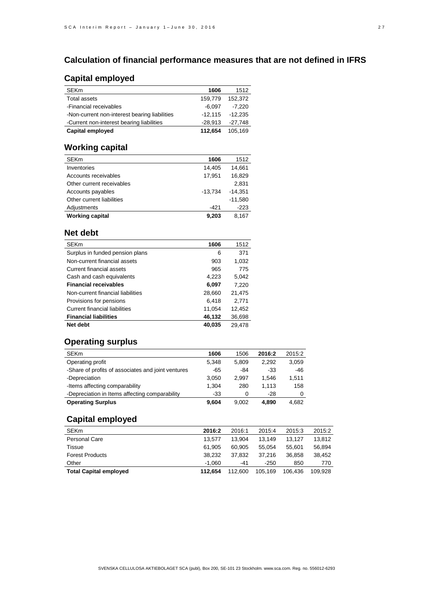## **Calculation of financial performance measures that are not defined in IFRS**

### **Capital employed**

| <b>SEKm</b>                                   | 1606      | 1512     |
|-----------------------------------------------|-----------|----------|
| Total assets                                  | 159.779   | 152.372  |
| -Financial receivables                        | $-6.097$  | $-7.220$ |
| -Non-current non-interest bearing liabilities | $-12.115$ | -12.235  |
| -Current non-interest bearing liabilities     | $-28,913$ | -27,748  |
| Capital employed                              | 112,654   | 105.169  |

## **Working capital**

| <b>SEKm</b>               | 1606      | 1512      |
|---------------------------|-----------|-----------|
| Inventories               | 14,405    | 14,661    |
| Accounts receivables      | 17.951    | 16,829    |
| Other current receivables |           | 2,831     |
| Accounts payables         | $-13,734$ | $-14.351$ |
| Other current liabilities |           | $-11,580$ |
| Adjustments               | -421      | $-223$    |
| <b>Working capital</b>    | 9,203     | 8.167     |

### **Net debt**

| <b>SEKm</b>                          | 1606   | 1512   |
|--------------------------------------|--------|--------|
| Surplus in funded pension plans      | 6      | 371    |
| Non-current financial assets         | 903    | 1,032  |
| Current financial assets             | 965    | 775    |
| Cash and cash equivalents            | 4,223  | 5,042  |
| <b>Financial receivables</b>         | 6,097  | 7,220  |
| Non-current financial liabilities    | 28,660 | 21,475 |
| Provisions for pensions              | 6.418  | 2.771  |
| <b>Current financial liabilities</b> | 11,054 | 12,452 |
| <b>Financial liabilities</b>         | 46,132 | 36,698 |
| Net debt                             | 40.035 | 29.478 |

## **Operating surplus**

| <b>SEKm</b>                                        | 1606  | 1506  | 2016:2 | 2015:2 |
|----------------------------------------------------|-------|-------|--------|--------|
| Operating profit                                   | 5.348 | 5.809 | 2.292  | 3,059  |
| -Share of profits of associates and joint ventures | -65   | -84   | -33    | -46    |
| -Depreciation                                      | 3,050 | 2.997 | 1.546  | 1.511  |
| -Items affecting comparability                     | 1.304 | 280   | 1.113  | 158    |
| -Depreciation in Items affecting comparability     | -33   | 0     | -28    | 0      |
| <b>Operating Surplus</b>                           | 9.604 | 9.002 | 4.890  | 4.682  |

## **Capital employed**

| <b>SEKm</b>                   | 2016:2   | 2016:1  | 2015:4  | 2015:3  | 2015:2  |
|-------------------------------|----------|---------|---------|---------|---------|
| Personal Care                 | 13.577   | 13.904  | 13.149  | 13.127  | 13.812  |
| Tissue                        | 61.905   | 60.905  | 55.054  | 55.601  | 56.894  |
| <b>Forest Products</b>        | 38.232   | 37.832  | 37.216  | 36.858  | 38.452  |
| Other                         | $-1.060$ | -41     | $-250$  | 850     | 770     |
| <b>Total Capital employed</b> | 112.654  | 112,600 | 105.169 | 106.436 | 109.928 |